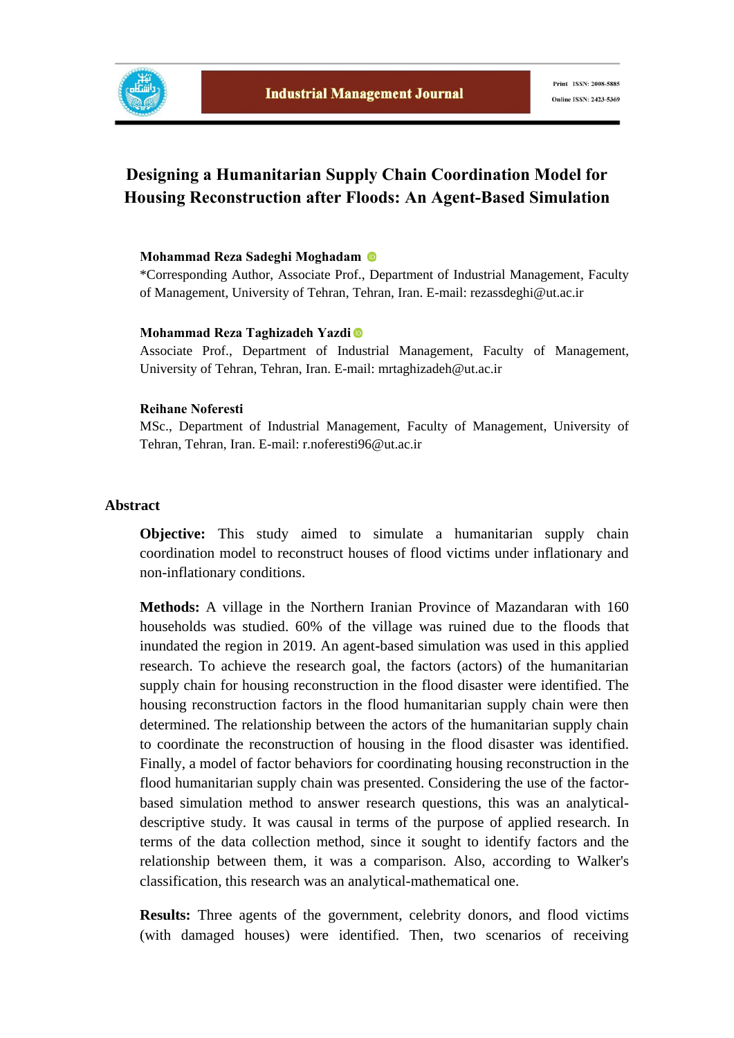

# **Designing a Humanitarian Supply Chain Coordination Model for Housing Reconstruction after Floods: An Agent-Based Simulation**

#### **Mohammad Reza Sadeghi Moghadam**

\*Corresponding Author, Associate Prof., Department of Industrial Management, Faculty of Management, University of Tehran, Tehran, Iran. E-mail: rezassdeghi@ut.ac.ir

#### **Mohammad Reza Taghizadeh Yazdi**

Associate Prof., Department of Industrial Management, Faculty of Management, University of Tehran, Tehran, Iran. E-mail: mrtaghizadeh@ut.ac.ir

#### **Reihane Noferesti**

MSc., Department of Industrial Management, Faculty of Management, University of Tehran, Tehran, Iran. E-mail: r.noferesti96@ut.ac.ir

### **Abstract**

**Objective:** This study aimed to simulate a humanitarian supply chain coordination model to reconstruct houses of flood victims under inflationary and non-inflationary conditions.

**Methods:** A village in the Northern Iranian Province of Mazandaran with 160 households was studied. 60% of the village was ruined due to the floods that inundated the region in 2019. An agent-based simulation was used in this applied research. To achieve the research goal, the factors (actors) of the humanitarian supply chain for housing reconstruction in the flood disaster were identified. The housing reconstruction factors in the flood humanitarian supply chain were then determined. The relationship between the actors of the humanitarian supply chain to coordinate the reconstruction of housing in the flood disaster was identified. Finally, a model of factor behaviors for coordinating housing reconstruction in the flood humanitarian supply chain was presented. Considering the use of the factorbased simulation method to answer research questions, this was an analyticaldescriptive study. It was causal in terms of the purpose of applied research. In terms of the data collection method, since it sought to identify factors and the relationship between them, it was a comparison. Also, according to Walker's classification, this research was an analytical-mathematical one.

**Results:** Three agents of the government, celebrity donors, and flood victims (with damaged houses) were identified. Then, two scenarios of receiving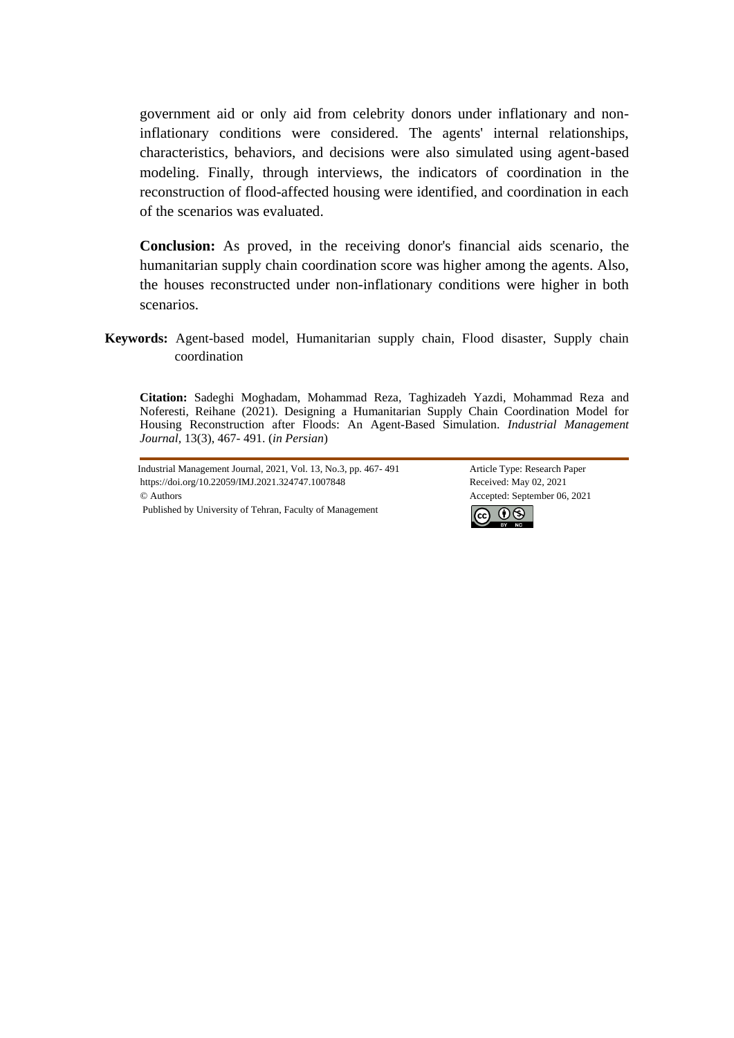government aid or only aid from celebrity donors under inflationary and noninflationary conditions were considered. The agents' internal relationships, characteristics, behaviors, and decisions were also simulated using agent-based modeling. Finally, through interviews, the indicators of coordination in the reconstruction of flood-affected housing were identified, and coordination in each of the scenarios was evaluated.

**Conclusion:** As proved, in the receiving donor's financial aids scenario, the humanitarian supply chain coordination score was higher among the agents. Also, the houses reconstructed under non-inflationary conditions were higher in both scenarios.

**Keywords:** Agent-based model, Humanitarian supply chain, Flood disaster, Supply chain coordination

**Citation:** Sadeghi Moghadam, Mohammad Reza, Taghizadeh Yazdi, Mohammad Reza and Noferesti, Reihane (2021). Designing a Humanitarian Supply Chain Coordination Model for Housing Reconstruction after Floods: An Agent-Based Simulation. *Industrial Management Journal,* 13(3), 467- 491. (*in Persian*)

Industrial Management Journal, 2021, Vol. 13, No.3, pp. 467- 491 Article Type: Research Paper https://doi.org/10.22059/IMJ.2021.324747.1007848 Received: May 02, 2021 © Authors Accepted: September 06, 2021 Published by University of Tehran, Faculty of Management

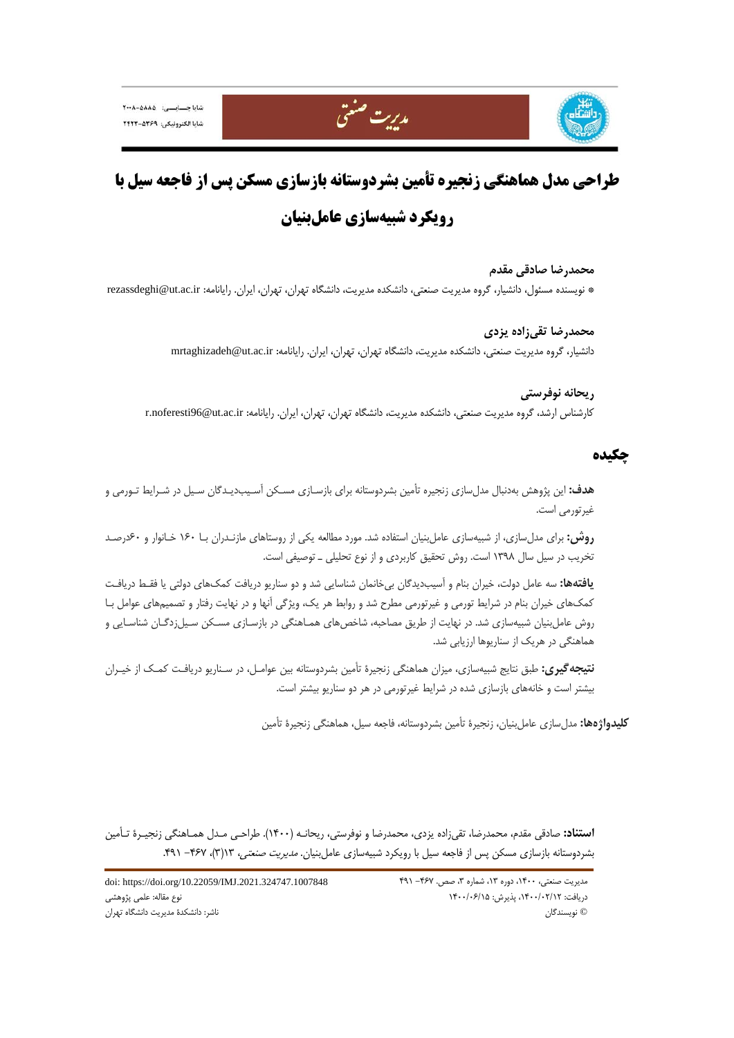



# **طراحي مدل هماهنگي زنجيره تأمين بشردوستانه بازسازي مسكن پس از فاجعه سيل با رويكرد شبيهسازي عاملبنيان**

**محمدرضا صادقي مقدم**  \* نويسنده مسئول، دانشيار، گروه مديريت صنعتي، دانشكده مديريت، دانشگاه تهران، تهران، ايران. رايانامه: ir.ac.ut@rezassdeghi

> **محمدرضا تقيزاده يزدي**  دانشيار، گروه مديريت صنعتي، دانشكده مديريت، دانشگاه تهران، تهران، ايران. رايانامه: ir.ac.ut@mrtaghizadeh

**ريحانه نوفرستي**  كارشناس ارشد، گروه مديريت صنعتي، دانشكده مديريت، دانشگاه تهران، تهران، ايران. رايانامه: ir.ac.ut@96noferesti.r

# **چكيده**

**هدف:** اين پژوهش بهدنبال مدلسازي زنجيره تأمين بشردوستانه براي بازسـازي مسـكن آسـيبديـدگان سـيل در شـرايط تـورمي و غيرتورمي است.

**روش:** براي مدلسازي، از شبيهسازي عاملبنيان استفاده شد. مورد مطالعه يكي از روستاهاي مازنـدران بـا 160 خـانوار و 60درصـد تخريب در سيل سال 1398 است. روش تحقيق كاربردي و از نوع تحليلي ـ توصيفي است.

**يافتهها:** سه عامل دولت، خيران بنام و آسيبديدگان بيخانمان شناسايي شد و دو سناريو دريافت كمكهاي دولتي يا فقـط دريافـت كمكهاي خيران بنام در شرايط تورمي و غيرتورمي مطرح شد و روابط هر يك، ويژگي آنها و در نهايت رفتار و تصميمهاي عوامل بـا روش عاملبنيان شبيهسازي شد. در نهايت از طريق مصاحبه، شاخصهاي همـاهنگي در بازسـازي مسـكن سـيلزدگـان شناسـايي و هماهنگي در هريك از سناريوها ارزيابي شد.

**نتيجهگيري:** طبق نتايج شبيهسازي، ميزان هماهنگي زنجيرة تأمين بشردوستانه بين عوامـل، در سـناريو دريافـت كمـك از خيـران بيشتر است و خانههاي بازسازي شده در شرايط غيرتورمي در هر دو سناريو بيشتر است.

**كليدواژهها:** مدلسازي عاملبنيان، زنجيرة تأمين بشردوستانه، فاجعه سيل، هماهنگي زنجيرة تأمين

**استناد:** صادقي مقدم، محمدرضا، تقيزاده يزدي، محمدرضا و نوفرستي، ريحانـه (1400). طراحـي مـدل همـاهنگي زنجيـرة تـأمين بشردوستانه بازسازي مسكن پس از فاجعه سيل با رويكرد شبيهسازي عامل بنيان. *مديريت صنعتي،* ١٣(٣)، ٣۶٧- ٣٩١.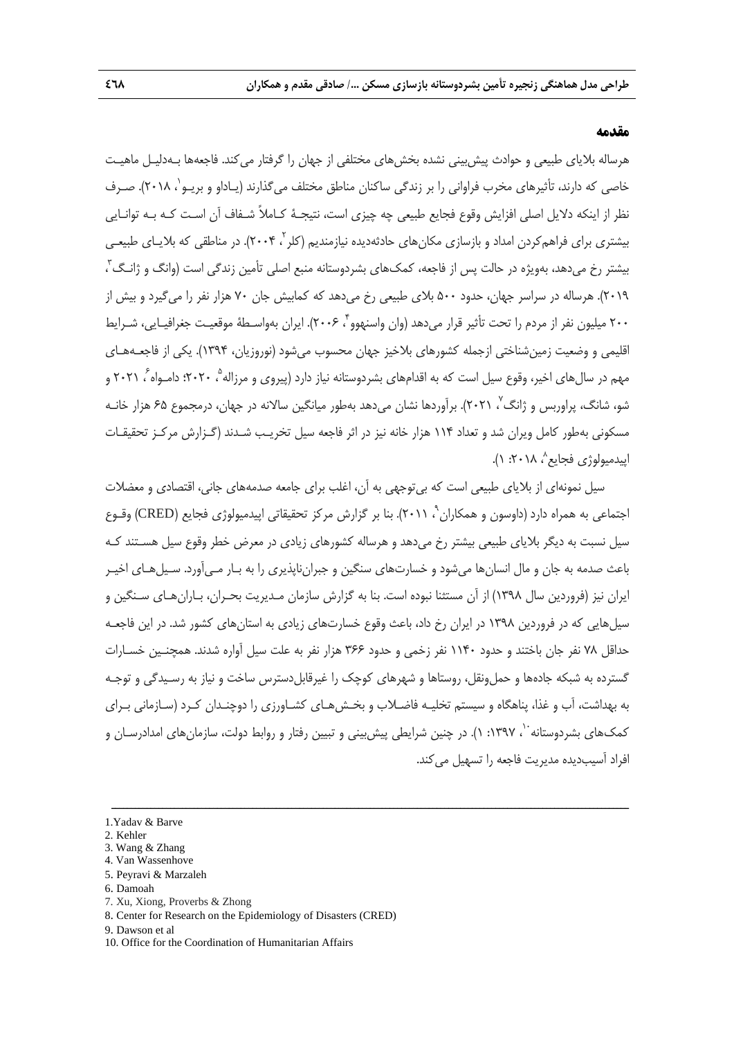### **مقدمه**

هرساله بلاياي طبيعي و حوادث پيشبيني نشده بخشهاي مختلفي از جهان را گرفتار ميكند. فاجعهها بـهدليـل ماهيـت خاصي كه دارند، تأثيرهاي مخرب فراواني را بر زندگي ساكنان مناطق مختلف مي گذارند (يـاداو و بريـو`، ٢٠١٨). صـرف نظر از اينكه دلايل اصلي افزايش وقوع فجايع طبيعي چه چيزي است، نتيجـة كـاملاً شـفاف آن اسـت كـه بـه توانـايي يیشتری برای فراهمکردن امداد و بازسازی مکان های حادثهدیده نیازمندیم (کلر<sup>۲</sup> ، ۲۰۰۴). در مناطقی که بلایـای طبیعـی بيشتر رخ مىدهد، بهويژه در حالت پس از فاجعه، كمك\اى بشردوستانه منبع اصلى تأمين زندگى است (وانگ و ژانـگ<sup>۳</sup> ، 2019). هرساله در سراسر جهان، حدود 500 بلاي طبيعي رخ ميدهد كه كمابيش جان 70 هزار نفر را ميگيرد و بيش از ٢٠٠ ميليون نفر از مردم را تحت تأثير قرار مي دهد (وان واسنهوو ، ٢٠٠۶). ايران بهواسـطهٔ موقعيـت جغرافيـايي، شـرايط اقليمي و وضعيت زمينشناختي ازجمله كشورهاي بلاخيز جهان محسوب ميشود (نوروزيان، 1394). يكي از فاجعـههـاي مهم در سال1های اخیر، وقوع سیل است که به اقدامهای بشردوستانه نیاز دارد (پیروی و مرزاله ْ، ۲۰۲۰؛ دامـواه ْ، ۲۰۲۱ و شو، شانگ، پراوربس و ژانگ $^{\vee}$  ۲۰۲۱). برآوردها نشان میدهد بهطور میانگین سالانه در جهان، درمجموع ۶۵ هزار خانـه مسكوني بهطور كامل ويران شد و تعداد 114 هزار خانه نيز در اثر فاجعه سيل تخريـب شـدند (گـزارش مركـز تحقيقـات ابيدميولوژي فجايع<sup>^</sup>، ۱۸ ۲۰۱۰. ۱).

سيل نمونهاي از بلاياي طبيعي است كه بيتوجهي به آن، اغلب براي جامعه صدمههاي جاني، اقتصادي و معضلات اجتماعي به همراه دارد (داوسون و همكاران `، ۲۰۱۱). بنا بر گزارش مركز تحقيقاتي اپيدميولوژي فجايع (CRED) وقـوع سيل نسبت به ديگر بلاياي طبيعي بيشتر رخ مي دهد و هرساله كشورهاي زيادي در معرض خطر وقوع سيل هسـتند كـه باعث صدمه به جان و مال انسانها ميشود و خسارتهاي سنگين و جبرانناپذيري را به بـار مـيآورد. سـيلهـاي اخيـر ايران نيز (فروردين سال 1398) از آن مستثنا نبوده است. بنا به گزارش سازمان مـديريت بحـران، بـارانهـاي سـنگين و سيلهايي كه در فروردين 1398 در ايران رخ داد، باعث وقوع خسارتهاي زيادي به استانهاي كشور شد. در اين فاجعـه حداقل 78 نفر جان باختند و حدود 1140 نفر زخمي و حدود 366 هزار نفر به علت سيل آواره شدند. همچنـين خسـارات گسترده به شبكه جادهها و حملونقل، روستاها و شهرهاي كوچك را غيرقابلدسترس ساخت و نياز به رسـيدگي و توجـه به بهداشت، آب و غذا، پناهگاه و سيستم تخليـه فاضـلاب و بخـشهـاي كشـاورزي را دوچنـدان كـرد (سـازماني بـراي كمك&اى بشردوستانه ``، ١٣٩٧: ١). در چنين شرايطي پيشبيني و تبيين رفتار و روابط دولت، سازمانهاى امدادرسـان و افراد آسيبديده مديريت فاجعه را تسهيل مي كند.

- 2. Kehler
- 3. Wang & Zhang
- 4. Van Wassenhove
- 5. Peyravi & Marzaleh
- 6. Damoah
- 7. Xu, Xiong, Proverbs & Zhong
- 8. Center for Research on the Epidemiology of Disasters (CRED)
- 9. Dawson et al

<sup>1.</sup>Yadav & Barve

<sup>10.</sup> Office for the Coordination of Humanitarian Affairs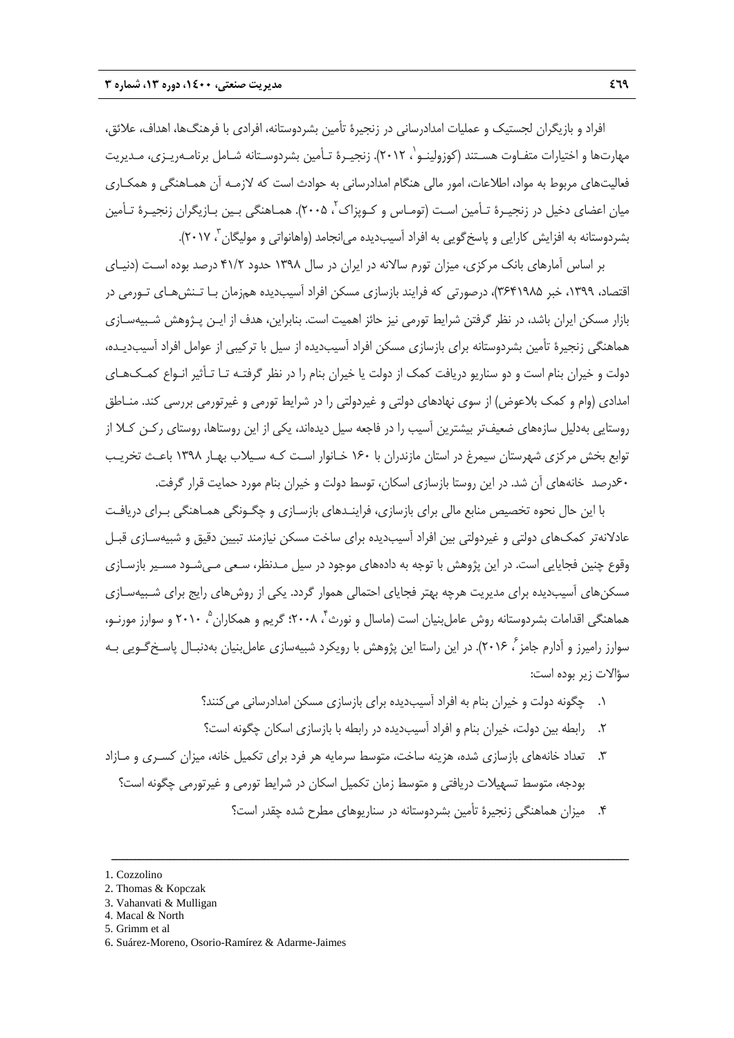افراد و بازيگران لجستيك و عمليات امدادرساني در زنجيرة تأمين بشردوستانه، افرادي با فرهنگها، اهداف، علائق، مهارتها و اختيارات متفـاوت هسـتند (كوزولينـو`، ٢٠١٢). زنجيـرة تـأمين بشردوسـتانه شـامل برنامـهريـزى، مـديريت فعاليتهاي مربوط به مواد، اطلاعات، امور مالي هنگام امدادرساني به حوادث است كه لازمـه آن همـاهنگي و همكـاري ميان اعضاي دخيل در زنجيـرة تـأمين اسـت (تومـاس و كـوپزاک'، ۲۰۰۵). همـاهنگي بـين بـازيگران زنجيـرة تـأمين بشردوستانه به افزايش كارايي و پاسخگويي به افراد آسيبديده مي انجامد (واهانواتي و موليگان<sup>۳</sup>، ۲۰۱۷).

بر اساس آمارهاي بانك مركزي، ميزان تورم سالانه در ايران در سال 1398 حدود 41/2 درصد بوده اسـت (دنيـاي اقتصاد، ،1399 خبر 3641985)، درصورتي كه فرايند بازسازي مسكن افراد آسيبديده همزمان بـا تـنشهـاي تـورمي در بازار مسكن ايران باشد، در نظر گرفتن شرايط تورمي نيز حائز اهميت است. بنابراين، هدف از ايـن پـژوهش شـبيهسـازي هماهنگي زنجيرة تأمين بشردوستانه براي بازسازي مسكن افراد آسيبديده از سيل با تركيبي از عوامل افراد آسيبديـده، دولت و خيران بنام است و دو سناريو دريافت كمك از دولت يا خيران بنام را در نظر گرفتـه تـا تـأثير انـواع كمـكهـاي امدادي (وام و كمك بلاعوض) از سوي نهادهاي دولتي و غيردولتي را در شرايط تورمي و غيرتورمي بررسي كند. منـاطق روستايي بهدليل سازههاي ضعيفتر بيشترين آسيب را در فاجعه سيل ديدهاند، يكي از اين روستاها، روستاي ركـن كـلا از توابع بخش مركزي شهرستان سيمرغ در استان مازندران با 160 خـانوار اسـت كـه سـيلاب بهـار 1398 باعـث تخريـب 60درصد خانههاي آن شد. در اين روستا بازسازي اسكان، توسط دولت و خيران بنام مورد حمايت قرار گرفت.

با اين حال نحوه تخصيص منابع مالي براي بازسازي، فراينـدهاي بازسـازي و چگـونگي همـاهنگي بـراي دريافـت عادلانهتر كمكهاي دولتي و غيردولتي بين افراد آسيبديده براي ساخت مسكن نيازمند تبيين دقيق و شبيهسـازي قبـل وقوع چنين فجايايي است. در اين پژوهش با توجه به دادههاي موجود در سيل مـدنظر، سـعي مـيشـود مسـير بازسـازي مسكنهاي آسيبديده براي مديريت هرچه بهتر فجاياي احتمالي هموار گردد. يكي از روشهاي رايج براي شـبيهسـازي هماهنگي اقدامات بشردوستانه روش عامل بنيان است (ماسال و نورث ً، ٢٠٠٨؛ گريم و همكاران <sup>۵</sup> ٢٠١٠ و سوارز مورنـو، سوارز راميرز و آدارم جامز<sup>۶</sup>، ۲۰۱۶). در اين راستا اين پژوهش با رويكرد شبيهسازي عاملبنيان بهدنبـال پاسـخگـويي بـه سؤالات زير بوده است:

- .1 چگونه دولت و خيران بنام به افراد آسيبديده براي بازسازي مسكن امدادرساني ميكنند؟
- .2 رابطه بين دولت، خيران بنام و افراد آسيبديده در رابطه با بازسازي اسكان چگونه است؟
- .3 تعداد خانههاي بازسازي شده، هزينه ساخت، متوسط سرمايه هر فرد براي تكميل خانه، ميزان كسـري و مـازاد بودجه، متوسط تسهيلات دريافتي و متوسط زمان تكميل اسكان در شرايط تورمي و غيرتورمي چگونه است؟

ــــــــــــــــــــــــــــــــــــــــــــــــــــــــــــــــــــــــــــــــــــــــــــــــــــــــــــــــــــــــــــــــــــ

.4 ميزان هماهنگي زنجيرة تأمين بشردوستانه در سناريوهاي مطرح شده چقدر است؟

<sup>1.</sup> Cozzolino

<sup>2.</sup> Thomas & Kopczak

<sup>3.</sup> Vahanvati & Mulligan

<sup>4.</sup> Macal & North

<sup>5.</sup> Grimm et al

<sup>6.</sup> Suárez-Moreno, Osorio-Ramírez & Adarme-Jaimes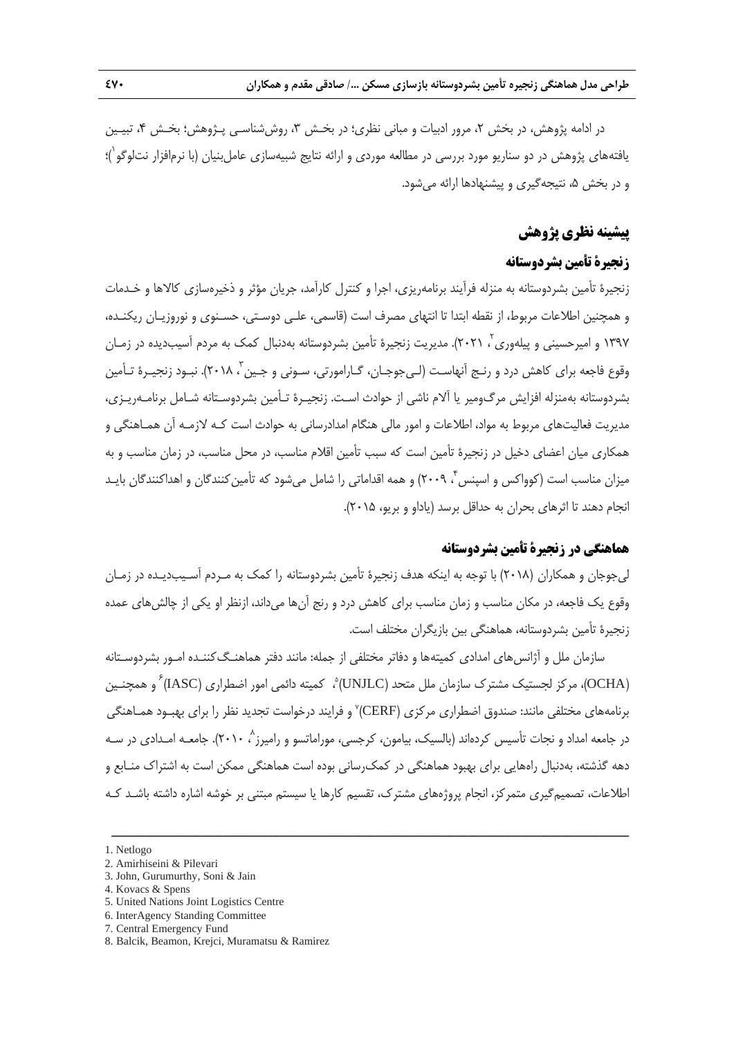در ادامه پژوهش، در بخش ۲، مرور ادبيات و مباني نظري؛ در بخـش ۳، روششناسـي پـژوهش؛ بخـش ۴، تبيـين 1 يافتههاي پژوهش در دو سناريو مورد بررسي در مطالعه موردي و ارائه نتايج شبيهسازي عاملبنيان (با نرمافزار نتلوگو )؛ و در بخش ۵، نتيجهگيري و پيشنهادها ارائه مي شود.

## **پيشينه نظري پژوهش**

# **زنجيرة تأمين بشردوستانه**

زنجيرة تأمين بشردوستانه به منزله فرآيند برنامهريزي، اجرا و كنترل كارآمد، جريان مؤثر و ذخيرهسازي كالاها و خـدمات و همچنين اطلاعات مربوط، از نقطه ابتدا تا انتهاي مصرف است (قاسمي، علـي دوسـتي، حسـنوي و نوروزيـان ريكنـده، ١٣٩٧ و اميرحسيني و پيلهوري٬ ٢٠٢١). مديريت زنجيرة تأمين بشردوستانه بهدنبال كمک به مردم آسيبديده در زمـان وقوع فاجعه براي كاهش درد و رنـج آنهاسـت (لـي جوجـان، گـارامورتي، سـوني و جـين آ، ٢٠١٨). نبـود زنجيـرة تـأمين بشردوستانه بهمنزله افزايش مرگومير يا آلام ناشي از حوادث اسـت. زنجيـرة تـأمين بشردوسـتانه شـامل برنامـهريـزي، مديريت فعاليتهاي مربوط به مواد، اطلاعات و امور مالي هنگام امدادرساني به حوادث است كـه لازمـه آن همـاهنگي و همكاري ميان اعضاي دخيل در زنجيرة تأمين است كه سبب تأمين اقلام مناسب، در محل مناسب، در زمان مناسب و به ميزان مناسب است (كوواكس و اسينس ً، ٢٠٠٩) و همه اقداماتي را شامل مي شود كه تأمين كنندگان و اهداكنندگان بايـد انجام دهند تا اثرهاي بحران به حداقل برسد (ياداو و بريو، 2015).

# **هماهنگي در زنجيرة تأمين بشردوستانه**

ليجوجان و همكاران (2018) با توجه به اينكه هدف زنجيرة تأمين بشردوستانه را كمك به مـردم آسـيبديـده در زمـان وقوع يك فاجعه، در مكان مناسب و زمان مناسب براي كاهش درد و رنج آنها ميداند، ازنظر او يكي از چالشهاي عمده زنجيرة تأمين بشردوستانه، هماهنگي بين بازيگران مختلف است.

سازمان ملل و آژانسهاي امدادي كميتهها و دفاتر مختلفي از جمله: مانند دفتر هماهنـگكننـده امـور بشردوسـتانه (OCHA)، مركز لجستيک مشترک سازمان ملل متحد (UNJLC)°، کميته دائمي امور اضطراري (IASC) ٌ و همچنـين برنامههاي مختلفي مانند: صندوق اضطراري مركزي (CERF)٬ و فرايند درخواست تجديد نظر را براي بهبـود همـاهنگي در جامعه امداد و نجات تأسیس کردهاند (بالسیک، بیامون، کرجسی، موراماتسو و رامیرز ۲۰۱۰). جامعـه امـدادی در سـه دهه گذشته، بهدنبال راههايي براي بهبود هماهنگي در كمكرساني بوده است هماهنگي ممكن است به اشتراك منـابع و اطلاعات، تصميمگيري متمركز، انجام پروژههاي مشترك، تقسيم كارها يا سيستم مبتني بر خوشه اشاره داشته باشـد كـه

<sup>1.</sup> Netlogo

<sup>2.</sup> Amirhiseini & Pilevari

<sup>3.</sup> John, Gurumurthy, Soni & Jain

<sup>4.</sup> Kovacs & Spens

<sup>5.</sup> United Nations Joint Logistics Centre

<sup>6.</sup> InterAgency Standing Committee

<sup>7.</sup> Central Emergency Fund

<sup>8.</sup> Balcik, Beamon, Krejci, Muramatsu & Ramirez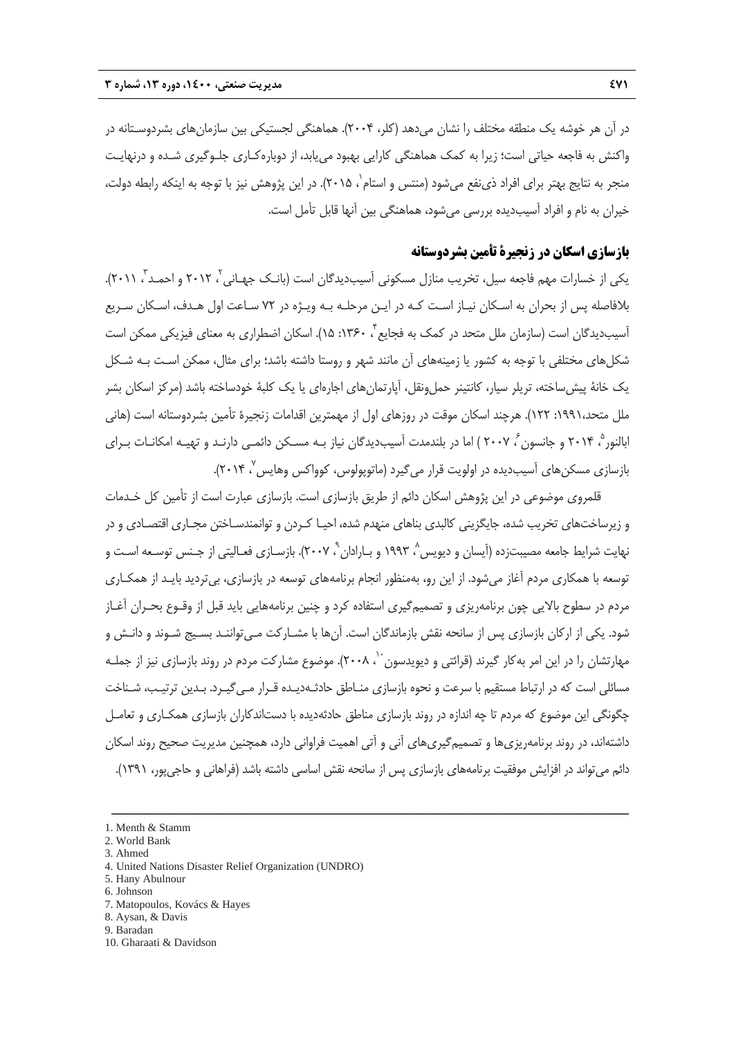در آن هر خوشه يك منطقه مختلف را نشان ميدهد (كلر، 2004). هماهنگي لجستيكي بين سازمانهاي بشردوسـتانه در واكنش به فاجعه حياتي است؛ زيرا به كمك هماهنگي كارايي بهبود مييابد، از دوبارهكـاري جلـوگيري شـده و درنهايـت منجر به نتايج بهتر براى افراد ذىنفع مىشود (منتس و استام`، ۲۰۱۵). در اين پژوهش نيز با توجه به اينكه رابطه دولت، خيران به نام و افراد آسيبديده بررسي ميشود، هماهنگي بين آنها قابل تأمل است.

# **بازسازي اسكان در زنجيرة تأمين بشردوستانه**

یکی از خسارات مهم فاجعه سیل، تخریب منازل مسکونی آسیبدیدگان است (بانـک جهـانی<sup>۲</sup> ، ۲۰۱۲ و احمـد<sup>"</sup>، ۲۰۱۱). بلافاصله پس از بحران به اسـكان نيـاز اسـت كـه در ايـن مرحلـه بـه ويـژه در 72 سـاعت اول هـدف، اسـكان سـريع آسيبديدگان است (سازمان ملل متحد در كمک به فجايع ً، ۱۳۶۰: ۱۵). اسکان اضطراري به معناي فيزيکي ممکن است شكلهاي مختلفي با توجه به كشور يا زمينههاي آن مانند شهر و روستا داشته باشد؛ براي مثال، ممكن اسـت بـه شـكل يک خانهٔ پيش ساخته، تريلر سيار، كانتينر حمل ونقل، آپارتمان هاي اجارهاي يا يک کلبهٔ خودساخته باشد (مرکز اسکان بشر ملل متحد:1991، 122). هرچند اسكان موقت در روزهاي اول از مهمترين اقدامات زنجيرة تأمين بشردوستانه است (هاني ابالنور ْ، ۲۰۱۴ و جانسون ّ، ۲۰۰۷ ) اما در بلندمدت آسيبديدگان نياز بـه مسـكن دائمـي دارنـد و تهيـه امكانـات بـراي بازسازي مسكن هاي آسيبديده در اولويت قرار مي گيرد (ماتوپولوس، كوواكس وهايس ٬ ۲۰۱۴).

قلمروي موضوعي در اين پژوهش اسكان دائم از طريق بازسازي است. بازسازي عبارت است از تأمين كل خـدمات و زيرساختهاي تخريب شده، جايگزيني كالبدي بناهاي منهدم شده، احيـا كـردن و توانمندسـاختن مجـاري اقتصـادي و در نهايت شرايط جامعه مصيبتزده (آيسان و ديويس^، ١٩٩٣ و بـارادان °، ٢٠٠٧). بازسـازي فعـاليتي از جـنس توسـعه اسـت و توسعه با همكاري مردم آغاز ميشود. از اين رو، بهمنظور انجام برنامههاي توسعه در بازسازي، بيترديد بايـد از همكـاري مردم در سطوح بالايي چون برنامهريزي و تصميمگيري استفاده كرد و چنين برنامههايي بايد قبل از وقـوع بحـران آغـاز شود. يكي از اركان بازسازي پس از سانحه نقش بازماندگان است. آنها با مشـاركت مـيتواننـد بسـيج شـوند و دانـش و مهارتشان را در اين امر به كار گيرند (قرائتي و ديويدسون ``، ٢٠٠٨). موضوع مشاركت مردم در روند بازسازي نيز از جملـه مسائلي است كه در ارتباط مستقيم با سرعت و نحوه بازسازي منـاطق حادثـهديـده قـرار مـيگيـرد. بـدين ترتيـب، شـناخت چگونگي اين موضوع كه مردم تا چه اندازه در روند بازسازي مناطق حادثهديده با دستاندكاران بازسازي همكـاري و تعامـل داشتهاند، در روند برنامهريزيها و تصميمگيريهاي آني و آتي اهميت فراواني دارد، همچنين مديريت صحيح روند اسكان دائم ميتواند در افزايش موفقيت برنامههاي بازسازي پس از سانحه نقش اساسي داشته باشد (فراهاني و حاجيپور، 1391).

- 2. World Bank 3. Ahmed
- 
- 4. United Nations Disaster Relief Organization (UNDRO)
- 5. Hany Abulnour
- 6. Johnson
- 7. Matopoulos, Kovács & Hayes 8. Aysan, & Davis
- 9. Baradan
- 10. Gharaati & Davidson

<sup>1.</sup> Menth & Stamm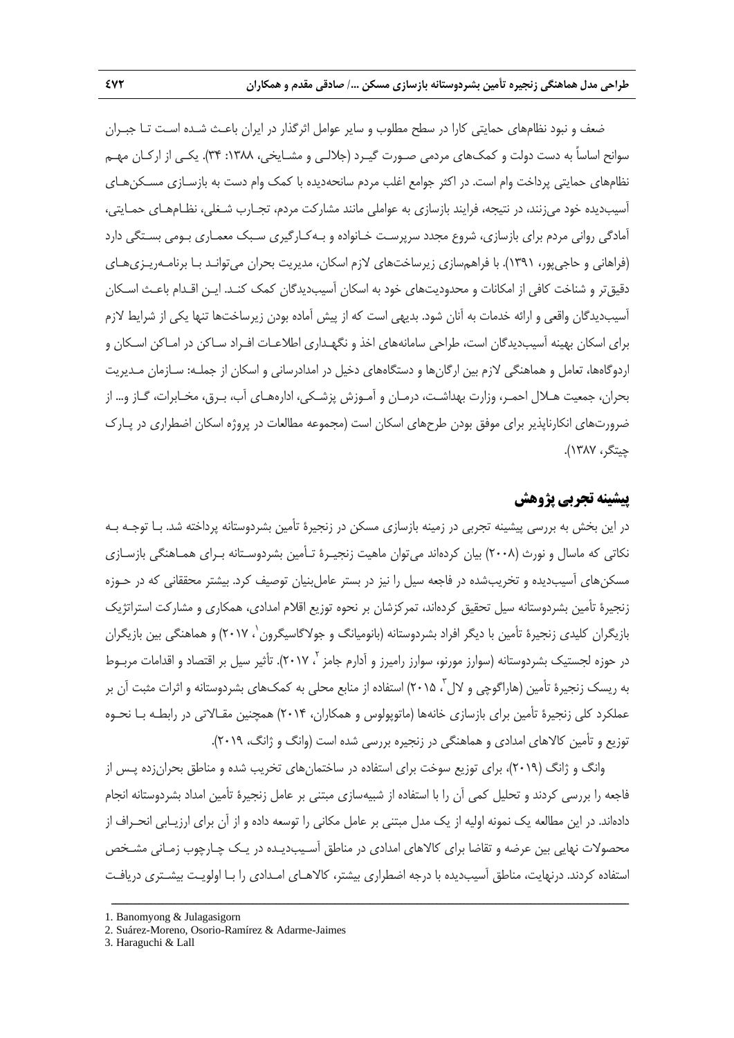ضعف و نبود نظامهاي حمايتي كارا در سطح مطلوب و ساير عوامل اثرگذار در ايران باعـث شـده اسـت تـا جبـران سوانح اساساً به دست دولت و كمكهاي مردمي صـورت گيـرد (جلالـي و مشـايخي، :1388 34). يكـي از اركـان مهـم نظامهاي حمايتي پرداخت وام است. در اكثر جوامع اغلب مردم سانحهديده با كمك وام دست به بازسـازي مسـكنهـاي آسيبديده خود ميزنند، در نتيجه، فرايند بازسازي به عواملي مانند مشاركت مردم، تجـارب شـغلي، نظـامهـاي حمـايتي، آمادگي رواني مردم براي بازسازي، شروع مجدد سرپرسـت خـانواده و بـهكـارگيري سـبك معمـاري بـومي بسـتگي دارد (فراهاني و حاجيپور، 1391). با فراهمسازي زيرساختهاي لازم اسكان، مديريت بحران ميتوانـد بـا برنامـهريـزيهـاي دقيقتر و شناخت كافي از امكانات و محدوديتهاي خود به اسكان آسيبديدگان كمك كنـد. ايـن اقـدام باعـث اسـكان آسيبديدگان واقعي و ارائه خدمات به آنان شود. بديهي است كه از پيش آماده بودن زيرساختها تنها يكي از شرايط لازم براي اسكان بهينه آسيبديدگان است، طراحي سامانههاي اخذ و نگهـداري اطلاعـات افـراد سـاكن در امـاكن اسـكان و اردوگاهها، تعامل و هماهنگي لازم بين ارگانها و دستگاههاي دخيل در امدادرساني و اسكان از جملـه: سـازمان مـديريت بحران، جمعيت هـلال احمـر، وزارت بهداشـت، درمـان و آمـوزش پزشـكي، ادارههـاي آب، بـرق، مخـابرات، گـاز و... از ضرورتهاي انكارناپذير براي موفق بودن طرحهاي اسكان است (مجموعه مطالعات در پروژه اسكان اضطراري در پـارك چيتگر، 1387).

# **پيشينه تجربي پژوهش**

در اين بخش به بررسي پيشينه تجربي در زمينه بازسازي مسكن در زنجيرة تأمين بشردوستانه پرداخته شد. بـا توجـه بـه نكاتي كه ماسال و نورث (2008) بيان كردهاند ميتوان ماهيت زنجيـرة تـأمين بشردوسـتانه بـراي همـاهنگي بازسـازي مسكنهاي آسيبديده و تخريبشده در فاجعه سيل را نيز در بستر عاملبنيان توصيف كرد. بيشتر محققاني كه در حـوزه زنجيرة تأمين بشردوستانه سيل تحقيق كردهاند، تمركزشان بر نحوه توزيع اقلام امدادي، همكاري و مشاركت استراتژيك بازيگران كليدي زنجيرة تأمين با ديگر افراد بشردوستانه (بانوميانگ و جولاگاسيگرون`، ۲۰۱۷) و هماهنگي بين بازيگران در حوزه لجستیک بشردوستانه (سوارز مورنو، سوارز رامیرز و آدارم جامز ۲۰۱۷٬ ، تأثیر سیل بر اقتصاد و اقدامات مربـوط به ريسک زنجيرهٔ تأمين (هاراگوچی و لال ّ، ۲۰۱۵) استفاده از منابع محلی به کمک&ای بشردوستانه و اثرات مثبت آن بر عملكرد كلي زنجيرة تأمين براي بازسازي خانهها (ماتوپولوس و همكاران، 2014) همچنين مقـالاتي در رابطـه بـا نحـوه توزيع و تأمين كالاهاي امدادي و هماهنگي در زنجيره بررسي شده است (وانگ و ژانگ، 2019).

وانگ و ژانگ (2019)، براي توزيع سوخت براي استفاده در ساختمانهاي تخريب شده و مناطق بحرانزده پـس از فاجعه را بررسي كردند و تحليل كمي آن را با استفاده از شبيهسازي مبتني بر عامل زنجيرة تأمين امداد بشردوستانه انجام دادهاند. در اين مطالعه يك نمونه اوليه از يك مدل مبتني بر عامل مكاني را توسعه داده و از آن براي ارزيـابي انحـراف از محصولات نهايي بين عرضه و تقاضا براي كالاهاي امدادي در مناطق آسـيبديـده در يـك چـارچوب زمـاني مشـخص استفاده كردند. درنهايت، مناطق آسيبديده با درجه اضطراري بيشتر، كالاهـاي امـدادي را بـا اولويـت بيشـتري دريافـت

<sup>1.</sup> Banomyong & Julagasigorn

<sup>2.</sup> Suárez-Moreno, Osorio-Ramírez & Adarme-Jaimes

<sup>3.</sup> Haraguchi & Lall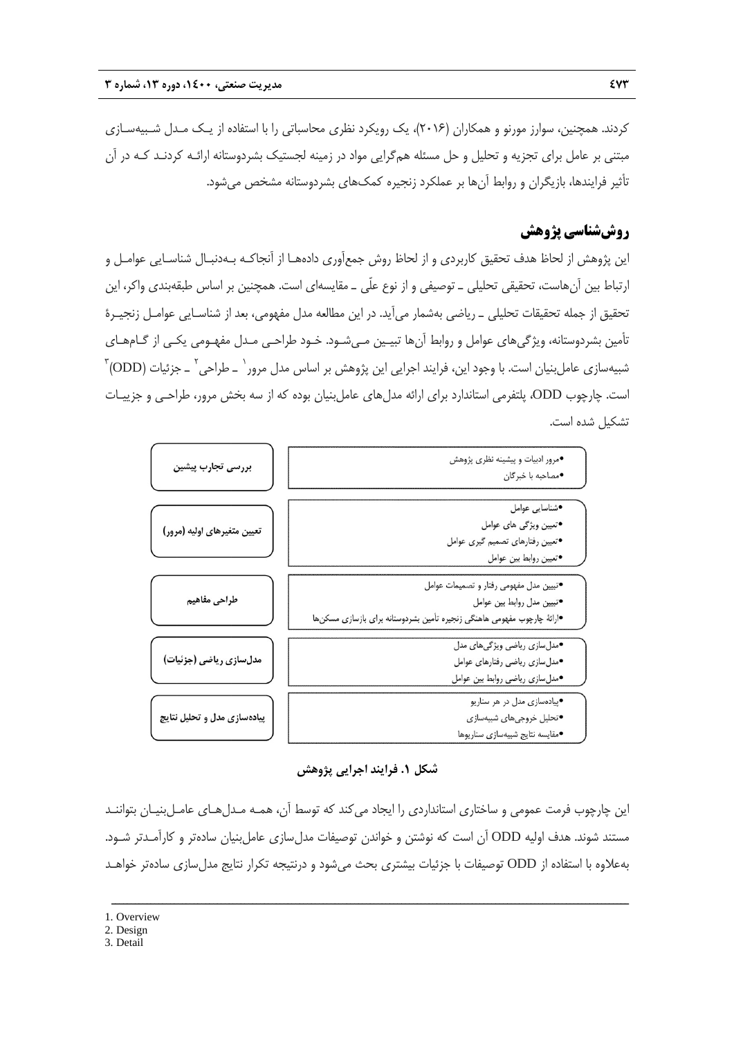كردند. همچنين، سوارز مورنو و همكاران (2016)، يك رويكرد نظري محاسباتي را با استفاده از يـك مـدل شـبيهسـازي مبتني بر عامل براي تجزيه و تحليل و حل مسئله همگرايي مواد در زمينه لجستيك بشردوستانه ارائـه كردنـد كـه در آن تأثير فرايندها، بازيگران و روابط آنها بر عملكرد زنجيره كمكهاي بشردوستانه مشخص ميشود.

# **روششناسي پژوهش**

اين پژوهش از لحاظ هدف تحقيق كاربردي و از لحاظ روش جمعآوري دادههـا از آنجاكـه بـهدنبـال شناسـايي عوامـل و ارتباط بين آنهاست، تحقيقي تحليلي ـ توصيفي و از نوع علّي ـ مقايسهاي است. همچنين بر اساس طبقهبندي واكر، اين تحقيق از جمله تحقيقات تحليلي ـ رياضي بهشمار ميآيد. در اين مطالعه مدل مفهومي، بعد از شناسـايي عوامـل زنجيـرة تأمين بشردوستانه، ويژگيهاي عوامل و روابط آنها تبيـين مـيشـود. خـود طراحـي مـدل مفهـومي يكـي از گـامهـاي شبيهسازي عاملبنيان است. با وجود اين، فرايند اجرايي اين پژوهش بر اساس مدل مرور` ــ طراحي` ــ جزئيات (ODD) ّ است. چارچوب ODD، پلتفرمي استاندارد براي ارائه مدلهاي عاملبنيان بوده كه از سه بخش مرور، طراحـي و جزييـات تشكيل شده است.



**شكل .1 فرايند اجرايي پژوهش** 

اين چارچوب فرمت عمومي و ساختاري استانداردي را ايجاد ميكند كه توسط آن، همـه مـدلهـاي عامـلبنيـان بتواننـد مستند شوند. هدف اوليه ODD آن است كه نوشتن و خواندن توصيفات مدلسازي عاملبنيان سادهتر و كارآمـدتر شـود. بهعلاوه با استفاده از ODD توصيفات با جزئيات بيشتري بحث ميشود و درنتيجه تكرار نتايج مدلسازي سادهتر خواهـد

ــــــــــــــــــــــــــــــــــــــــــــــــــــــــــــــــــــــــــــــــــــــــــــــــــــــــــــــــــــــــــــــــــــ

3. Detail

<sup>1.</sup> Overview

<sup>2.</sup> Design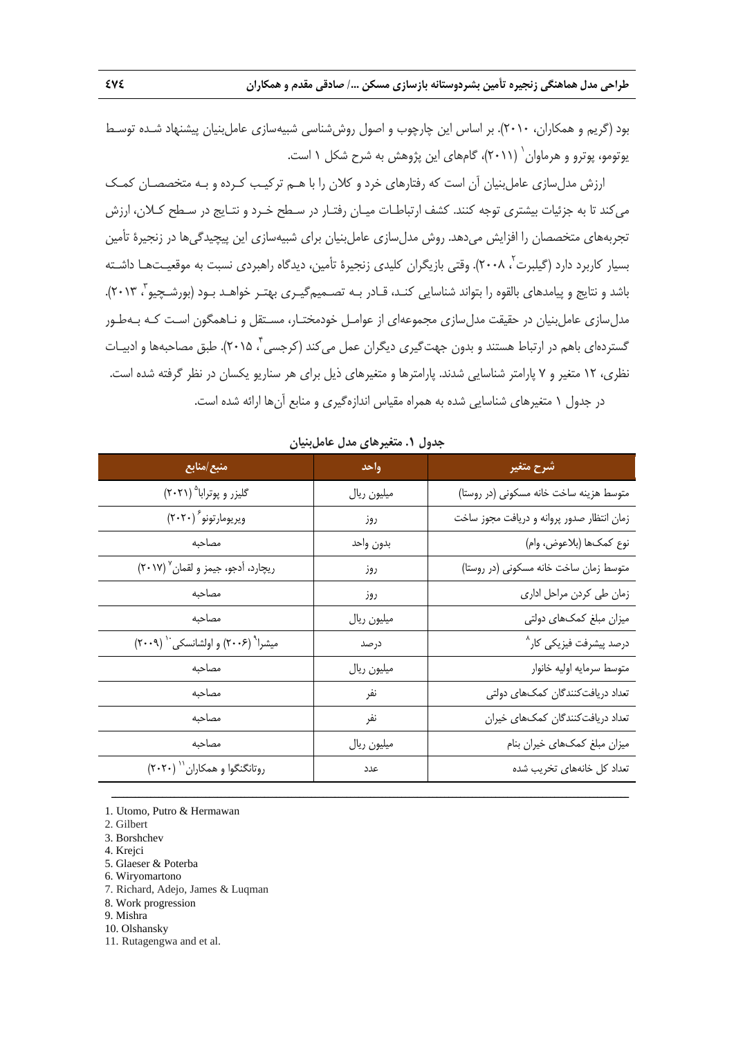بود (گريم و همكاران، 2010). بر اساس اين چارچوب و اصول روششناسي شبيهسازي عاملبنيان پيشنهاد شـده توسـط (2011)، گامهاي اين پژوهش به شرح شكل 1 است. <sup>1</sup> يوتومو، پوترو و هرماوان

ارزش مدلسازي عاملبنيان آن است كه رفتارهاي خرد و كلان را با هـم تركيـب كـرده و بـه متخصصـان كمـك ميكند تا به جزئيات بيشتري توجه كنند. كشف ارتباطـات ميـان رفتـار در سـطح خـرد و نتـايج در سـطح كـلان، ارزش تجربههاي متخصصان را افزايش ميدهد. روش مدلسازي عاملبنيان براي شبيهسازي اين پيچيدگيها در زنجيرة تأمين بسيار كاربرد دارد (گيلبرت <sup>۲</sup>، ۲۰۰۸). وقتي بازيگران كليدي زنجيرهٔ تأمين، ديدگاه راهبردي نسبت به موقعيـتهـا داشـته باشد و نتايج و پيامدهاي بالقوه را بتواند شناسايي كنـد، قـادر بـه تصـميمگيـري بهتـر خواهـد بـود (بورشـچيو<sup>۳</sup>، ۲۰۱۳). مدلسازي عاملبنيان در حقيقت مدلسازي مجموعهاي از عوامـل خودمختـار، مسـتقل و نـاهمگون اسـت كـه بـهطـور گستردهاي باهم در ارتباط هستند و بدون جهت گيري ديگران عمل مي كند (كرجسي ً ۲۰۱۵). طبق مصاحبهها و ادبيـات نظري، 12 متغير و 7 پارامتر شناسايي شدند. پارامترها و متغيرهاي ذيل براي هر سناريو يكسان در نظر گرفته شده است. در جدول 1 متغيرهاي شناسايي شده به همراه مقياس اندازهگيري و منابع آنها ارائه شده است.

| - - - - - - -<br>レフー・                                      |             |                                            |  |  |  |
|------------------------------------------------------------|-------------|--------------------------------------------|--|--|--|
| منبع/منابع                                                 | واحد        | شرح متغير                                  |  |  |  |
| گلیزر و پوترابا <sup>۵</sup> (۲۰۲۱)                        | ميليون ريال | متوسط هزينه ساخت خانه مسكوني (در روستا)    |  |  |  |
| ويريومارتونو $(\mathbf{Y}\cdot\mathbf{Y}\cdot\mathbf{Y})$  | روز         | زمان انتظار صدور پروانه و دریافت مجوز ساخت |  |  |  |
| مصاحبه                                                     | بدون واحد   | نوع كمكـها (بلاعوض، وام)                   |  |  |  |
| ريچارد، آدجو، جيمز و لقمان ٢٠١٧)                           | روز         | متوسط زمان ساخت خانه مسكونى (در روستا)     |  |  |  |
| مصاحبه                                                     | روز         | زمان طی کردن مراحل اداری                   |  |  |  |
| مصاحبه                                                     | ميليون ريال | میزان مبلغ کمکهای دولتی                    |  |  |  |
| میشرا <sup>۹</sup> (۲۰۰۶) و اولشانسکی <sup>۱۰</sup> (۲۰۰۹) | درصد        | درصد پیشرفت فیزیکی کار <sup>^</sup>        |  |  |  |
| مصاحبه                                                     | ميليون ريال | متوسط سرمايه اوليه خانوار                  |  |  |  |
| مصاحبه                                                     | نفر         | تعداد دریافتکنندگان کمکهای دولتی           |  |  |  |
| مصاحبه                                                     | نفر         | تعداد دريافت كنندگان كمكهاى خيران          |  |  |  |
| مصاحبه                                                     | ميليون ريال | میزان مبلغ کمکهای خیران بنام               |  |  |  |
| روتانگنگوا و همکاران (۲۰۲۰)                                | عدد         | تعداد کل خانههای تخریب شده                 |  |  |  |

ــــــــــــــــــــــــــــــــــــــــــــــــــــــــــــــــــــــــــــــــــــــــــــــــــــــــــــــــــــــــــــــــــــ

**جدول .1 متغيرهاي مدل عاملبنيان**

1. Utomo, Putro & Hermawan

- 2. Gilbert
- 3. Borshchev
- 4. Krejci
- 5. Glaeser & Poterba
- 6. Wiryomartono
- 7. Richard, Adejo, James & Luqman
- 8. Work progression
- 9. Mishra
- 10. Olshansky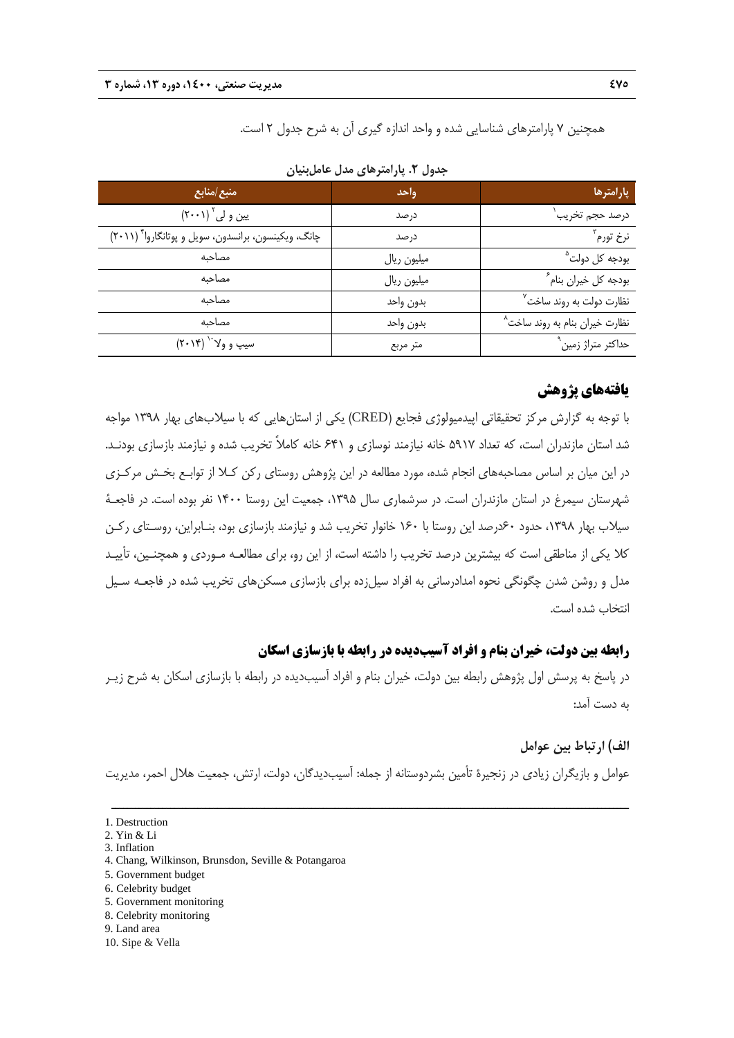همچنين 7 پارامترهاي شناسايي شده و واحد اندازه گيري آن به شرح جدول 2 است.

| منبع/منابع                                           | وأحد        | يارامترها                            |
|------------------------------------------------------|-------------|--------------------------------------|
| یین و لی $\big(\mathsf{Y}\cdots\mathsf{Y}\big)$      | در صد       | درصد حجم تخريب                       |
| چانگ، ویکینسون، برانسدون، سویل و پوتانگاروا ٌ (۲۰۱۱) | در صد       | نرخ تورم ؓ                           |
| مصاحبه                                               | ميليون ريال | بودجه کل دولت <sup>۵</sup>           |
| مصاحبه                                               | ميليون ريال | بودجه كل خيران بنام ً                |
| مصاحبه                                               | بدون واحد   | نظارت دولت به روند ساخت <sup>۷</sup> |
| مصاحبه                                               | بدون واحد   | نظارت خیران بنام به روند ساخت^       |
| $(Y \cdot Y)^{V}$ سيپ و ولا $Y$                      | متر مربع    | حداکثر متراژ زمین <sup>۹</sup>       |

**جدول .2 پارامترهاي مدل عاملبنيان**

# **يافتههاي پژوهش**

با توجه به گزارش مركز تحقيقاتي اپيدميولوژي فجايع (CRED (يكي از استانهايي كه با سيلابهاي بهار 1398 مواجه شد استان مازندران است، كه تعداد 5917 خانه نيازمند نوسازي و 641 خانه كاملاً تخريب شده و نيازمند بازسازي بودنـد. در اين ميان بر اساس مصاحبههاي انجام شده، مورد مطالعه در اين پژوهش روستاي ركن كـلا از توابـع بخـش مركـزي شهرستان سيمرغ در استان مازندران است. در سرشماري سال ،1395 جمعيت اين روستا 1400 نفر بوده است. در فاجعـة سيلاب بهار ١٣٩٨، حدود ۶۰درصد اين روستا با ١۶۰ خانوار تخريب شد و نيازمند بازسازي بود، بنـابراين، روسـتاي ركـن كلا يكي از مناطقي است كه بيشترين درصد تخريب را داشته است، از اين رو، براي مطالعـه مـوردي و همچنـين، تأييـد مدل و روشن شدن چگونگي نحوه امدادرساني به افراد سيلزده براي بازسازي مسكنهاي تخريب شده در فاجعـه سـيل انتخاب شده است.

### **رابطه بين دولت، خيران بنام و افراد آسيبديده در رابطه با بازسازي اسكان**

در پاسخ به پرسش اول پژوهش رابطه بين دولت، خيران بنام و افراد آسيبديده در رابطه با بازسازي اسكان به شرح زيـر به دست آمد:

### **الف) ارتباط بين عوامل**

عوامل و بازيگران زيادي در زنجيرة تأمين بشردوستانه از جمله: آسيبديدگان، دولت، ارتش، جمعيت هلال احمر، مديريت

- 5. Government monitoring
- 8. Celebrity monitoring
- 9. Land area

<sup>1.</sup> Destruction

<sup>2.</sup> Yin & Li

<sup>3.</sup> Inflation

<sup>4.</sup> Chang, Wilkinson, Brunsdon, Seville & Potangaroa

<sup>5.</sup> Government budget

<sup>6.</sup> Celebrity budget

<sup>10.</sup> Sipe & Vella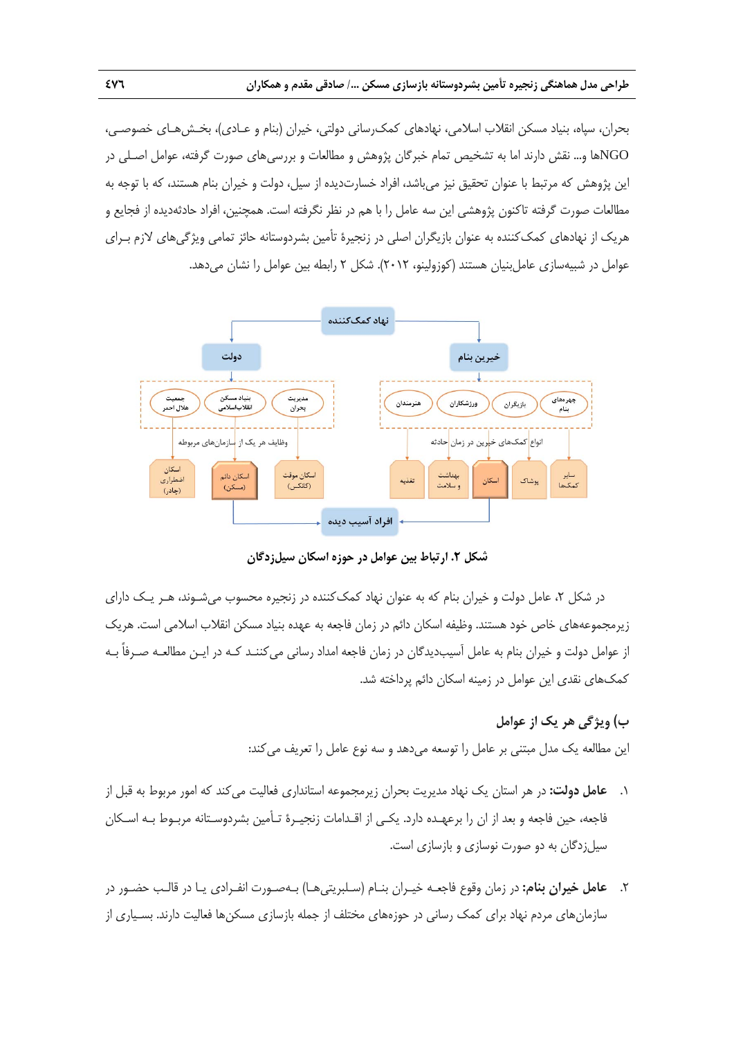بحران، سپاه، بنياد مسكن انقلاب اسلامي، نهادهاي كمكرساني دولتي، خيران (بنام و عـادي)، بخـشهـاي خصوصـي، NGOها و... نقش دارند اما به تشخيص تمام خبرگان پژوهش و مطالعات و بررسيهاي صورت گرفته، عوامل اصـلي در اين پژوهش كه مرتبط با عنوان تحقيق نيز ميباشد، افراد خسارتديده از سيل، دولت و خيران بنام هستند، كه با توجه به مطالعات صورت گرفته تاكنون پژوهشي اين سه عامل را با هم در نظر نگرفته است. همچنين، افراد حادثهديده از فجايع و هريك از نهادهاي كمككننده به عنوان بازيگران اصلي در زنجيرة تأمين بشردوستانه حائز تمامي ويژگيهاي لازم بـراي عوامل در شبيهسازي عاملبنيان هستند (كوزولينو، 2012). شكل 2 رابطه بين عوامل را نشان ميدهد.



**شكل .2 ارتباط بين عوامل در حوزه اسكان سيلزدگان** 

در شكل ۲، عامل دولت و خيران بنام كه به عنوان نهاد كمك كننده در زنجيره محسوب مي شـوند، هـر يـك داراي زيرمجموعههاي خاص خود هستند. وظيفه اسكان دائم در زمان فاجعه به عهده بنياد مسكن انقلاب اسلامي است. هريك از عوامل دولت و خيران بنام به عامل آسيبديدگان در زمان فاجعه امداد رساني ميكننـد كـه در ايـن مطالعـه صـرفاً بـه كمكهاي نقدي اين عوامل در زمينه اسكان دائم پرداخته شد.

# **ب) ويژگي هر يك از عوامل**

اين مطالعه يك مدل مبتني بر عامل را توسعه ميدهد و سه نوع عامل را تعريف ميكند:

- .1 **عامل دولت:** در هر استان يك نهاد مديريت بحران زيرمجموعه استانداري فعاليت ميكند كه امور مربوط به قبل از فاجعه، حين فاجعه و بعد از ان را برعهـده دارد. يكـي از اقـدامات زنجيـرة تـأمين بشردوسـتانه مربـوط بـه اسـكان سيلزدگان به دو صورت نوسازي و بازسازي است.
- .2 **عامل خيران بنام:** در زمان وقوع فاجعـه خيـران بنـام (سـلبريتيهـا) بـهصـورت انفـرادي يـا در قالـب حضـور در سازمانهاي مردم نهاد براي كمك رساني در حوزههاي مختلف از جمله بازسازي مسكنها فعاليت دارند. بسـياري از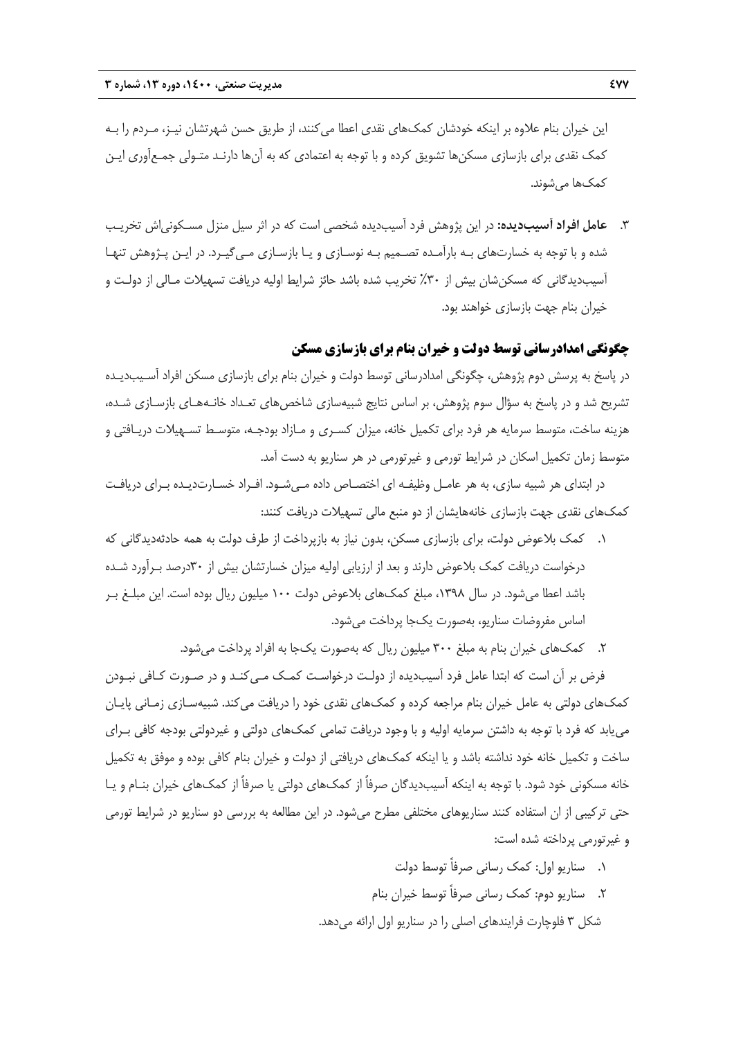اين خيران بنام علاوه بر اينكه خودشان كمكهاي نقدي اعطا ميكنند، از طريق حسن شهرتشان نيـز، مـردم را بـه كمك نقدي براي بازسازي مسكنها تشويق كرده و با توجه به اعتمادي كه به آنها دارنـد متـولي جمـعآوري ايـن كمكها ميشوند.

.3 **عامل افراد آسيبديده:** در اين پژوهش فرد آسيبديده شخصي است كه در اثر سيل منزل مسـكونياش تخريـب شده و با توجه به خسارتهاي بـه بارآمـده تصـميم بـه نوسـازي و يـا بازسـازي مـيگيـرد. در ايـن پـژوهش تنهـا آسيبديدگاني كه مسكنشان بيش از %30 تخريب شده باشد حائز شرايط اوليه دريافت تسهيلات مـالي از دولـت و خيران بنام جهت بازسازي خواهند بود.

### **چگونگي امدادرساني توسط دولت و خيران بنام براي بازسازي مسكن**

در پاسخ به پرسش دوم پژوهش، چگونگي امدادرساني توسط دولت و خيران بنام براي بازسازي مسكن افراد آسـيبديـده تشريح شد و در پاسخ به سؤال سوم پژوهش، بر اساس نتايج شبيهسازي شاخصهاي تعـداد خانـههـاي بازسـازي شـده، هزينه ساخت، متوسط سرمايه هر فرد براي تكميل خانه، ميزان كسـري و مـازاد بودجـه، متوسـط تسـهيلات دريـافتي و متوسط زمان تكميل اسكان در شرايط تورمي و غيرتورمي در هر سناريو به دست آمد.

در ابتداي هر شبيه سازي، به هر عامـل وظيفـه اي اختصـاص داده مـيشـود. افـراد خسـارتديـده بـراي دريافـت كمكهاي نقدي جهت بازسازي خانههايشان از دو منبع مالي تسهيلات دريافت كنند:

- .1 كمك بلاعوض دولت، براي بازسازي مسكن، بدون نياز به بازپرداخت از طرف دولت به همه حادثهديدگاني كه درخواست دريافت كمك بلاعوض دارند و بعد از ارزيابي اوليه ميزان خسارتشان بيش از 30درصد بـرآورد شـده باشد اعطا ميشود. در سال ،1398 مبلغ كمكهاي بلاعوض دولت 100 ميليون ريال بوده است. اين مبلـغ بـر اساس مفروضات سناريو، بهصورت يكجا پرداخت ميشود.
	- .2 كمكهاي خيران بنام به مبلغ 300 ميليون ريال كه بهصورت يكجا به افراد پرداخت ميشود.

فرض بر آن است كه ابتدا عامل فرد آسيبديده از دولـت درخواسـت كمـك مـيكنـد و در صـورت كـافي نبـودن كمكهاي دولتي به عامل خيران بنام مراجعه كرده و كمكهاي نقدي خود را دريافت ميكند. شبيهسـازي زمـاني پايـان مييابد كه فرد با توجه به داشتن سرمايه اوليه و با وجود دريافت تمامي كمكهاي دولتي و غيردولتي بودجه كافي بـراي ساخت و تكميل خانه خود نداشته باشد و يا اينكه كمكهاي دريافتي از دولت و خيران بنام كافي بوده و موفق به تكميل خانه مسكوني خود شود. با توجه به اينكه آسيبديدگان صرفاً از كمكهاي دولتي يا صرفاً از كمكهاي خيران بنـام و يـا حتي تركيبي از ان استفاده كنند سناريوهاي مختلفي مطرح ميشود. در اين مطالعه به بررسي دو سناريو در شرايط تورمي و غيرتورمي پرداخته شده است:

> .1 سناريو اول: كمك رساني صرفاً توسط دولت .2 سناريو دوم: كمك رساني صرفاً توسط خيران بنام شكل 3 فلوچارت فرايندهاي اصلي را در سناريو اول ارائه ميدهد.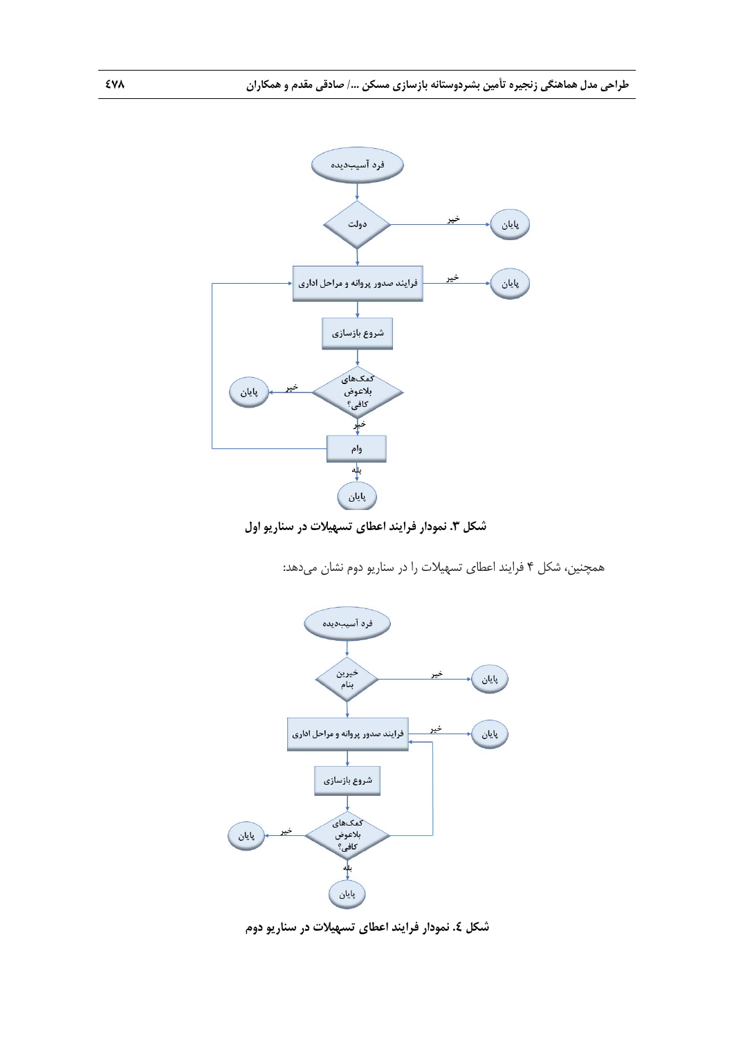

**شكل .3 نمودار فرايند اعطاي تسهيلات در سناريو اول** 

همچنين، شكل 4 فرايند اعطاي تسهيلات را در سناريو دوم نشان ميدهد:



**شكل .4 نمودار فرايند اعطاي تسهيلات در سناريو دوم**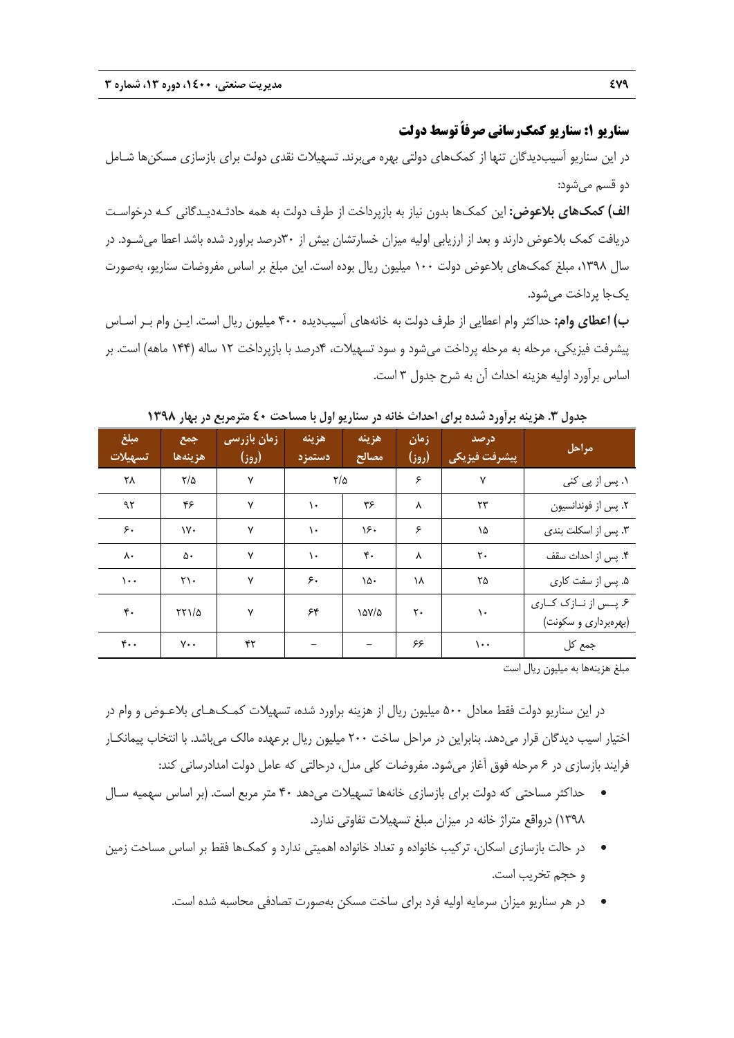**سناريو :1 سناريو كمكرساني صرفاً توسط دولت** 

در اين سناريو آسيبديدگان تنها از كمكهاي دولتي بهره ميبرند. تسهيلات نقدي دولت براي بازسازي مسكنها شـامل دو قسم ميشود:

**الف) كمكهاي بلاعوض:** اين كمكها بدون نياز به بازپرداخت از طرف دولت به همه حادثـهديـدگاني كـه درخواسـت دريافت كمك بلاعوض دارند و بعد از ارزيابي اوليه ميزان خسارتشان بيش از 30درصد براورد شده باشد اعطا ميشـود. در سال ،1398 مبلغ كمكهاي بلاعوض دولت 100 ميليون ريال بوده است. اين مبلغ بر اساس مفروضات سناريو، بهصورت يكجا پرداخت ميشود.

**ب) اعطاي وام:** حداكثر وام اعطايي از طرف دولت به خانههاي آسيبديده 400 ميليون ريال است. ايـن وام بـر اسـاس پيشرفت فيزيكي، مرحله به مرحله پرداخت ميشود و سود تسهيلات، 4درصد با بازپرداخت 12 ساله (144 ماهه) است. بر اساس برآورد اوليه هزينه احداث آن به شرح جدول 3 است.

| مبلغ<br>تسهيلات          | جمع<br>هزينهها             | زمان بازرسی<br>(روز) | هزينه<br>دستمزد | هزينه<br>مصالح    | زمان<br>(روز) | درصد<br>ˈ پیشرفت فیزیکی | مراحل                          |
|--------------------------|----------------------------|----------------------|-----------------|-------------------|---------------|-------------------------|--------------------------------|
| ۲۸                       | ۲/۵                        | ٧                    | ۲/۵             |                   | ۶             | ٧                       | ۱. پس از پی کنی                |
| ۹۲                       | ۴۶                         | ٧                    | $\lambda$       | ۳۶                | ٨             | ٢٣                      | ٢. پس از فوندانسيون            |
| ۶۰                       | ۱۷۰                        | ٧                    | ١.              | ۱۶۰               | ۶             | ١۵                      | ۳. پس از اسکلت بندی            |
| ٨٠                       | ۵۰                         | ٧                    | ١.              | ۴٠                | Λ             | ٢٠                      | ۴. پس از احداث سقف             |
| ۱۰۰                      | $\mathsf{Y}\setminus\cdot$ | ٧                    | ۶۰              | ۱۵۰               | ١٨            | ۲۵                      | ۵. پس از سفت کاری              |
| ۴٠                       | $\frac{5}{11}$             | ٧                    | ۶۴              | $\Delta V/\Delta$ | ٢٠            | ١.                      | ۶. پــس از نــازک کــاری       |
| $\mathfrak{r}\cdot\cdot$ | ٧٠٠                        | ۴۲                   |                 |                   | ۶۶            | $\cdots$                | (بهرهبرداری و سکونت)<br>جمع کل |

**جدول .3 هزينه برآورد شده براي احداث خانه در سناريو اول با مساحت 40 مترمربع در بهار 1398**

مبلغ هزينهها به ميليون ريال است

در اين سناريو دولت فقط معادل 500 ميليون ريال از هزينه براورد شده، تسهيلات كمـكهـاي بلاعـوض و وام در اختيار اسيب ديدگان قرار مي دهد. بنابراين در مراحل ساخت ٢٠٠ ميليون ريال برعهده مالک مي باشد. با انتخاب پيمانکـار فرايند بازسازي در 6 مرحله فوق آغاز ميشود. مفروضات كلي مدل، درحالتي كه عامل دولت امدادرساني كند:

- حداكثر مساحتي كه دولت براي بازسازي خانهها تسهيلات ميدهد 40 متر مربع است. (بر اساس سهميه سـال 1398) درواقع متراژ خانه در ميزان مبلغ تسهيلات تفاوتي ندارد.
- در حالت بازسازي اسكان، تركيب خانواده و تعداد خانواده اهميتي ندارد و كمكها فقط بر اساس مساحت زمين و حجم تخريب است.
	- در هر سناريو ميزان سرمايه اوليه فرد براي ساخت مسكن بهصورت تصادفي محاسبه شده است.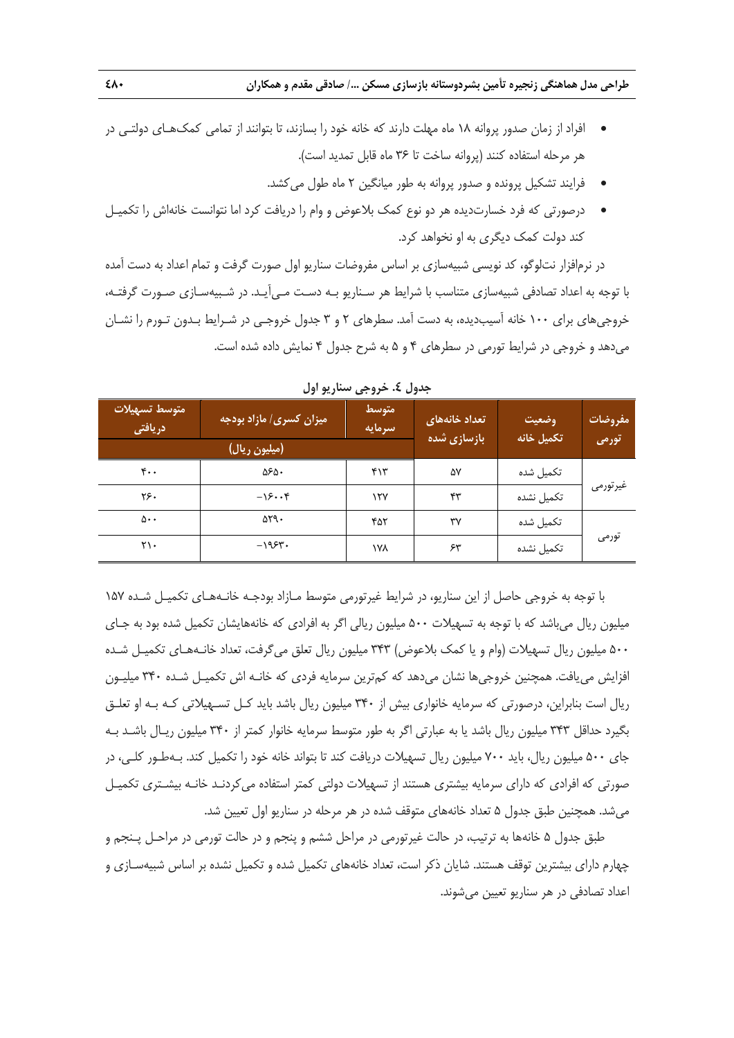**طراحي مدل هماهنگي زنجيره تأمين بشردوستانه بازسازي مسكن /... صادقي مقدم و همكاران 480** 

- افراد از زمان صدور پروانه 18 ماه مهلت دارند كه خانه خود را بسازند، تا بتوانند از تمامي كمكهـاي دولتـي در هر مرحله استفاده كنند (پروانه ساخت تا 36 ماه قابل تمديد است).
	- فرايند تشكيل پرونده و صدور پروانه به طور ميانگين 2 ماه طول ميكشد.
- درصورتي كه فرد خسارتديده هر دو نوع كمك بلاعوض و وام را دريافت كرد اما نتوانست خانهاش را تكميـل كند دولت كمك ديگري به او نخواهد كرد.

در نرمافزار نتلوگو، كد نويسي شبيهسازي بر اساس مفروضات سناريو اول صورت گرفت و تمام اعداد به دست آمده با توجه به اعداد تصادفي شبيهسازي متناسب با شرايط هر سـناريو بـه دسـت مـيآيـد. در شـبيهسـازي صـورت گرفتـه، خروجيهاي براي 100 خانه آسيبديده، به دست آمد. سطرهاي 2 و 3 جدول خروجـي در شـرايط بـدون تـورم را نشـان ميدهد و خروجي در شرايط تورمي در سطرهاي 4 و 5 به شرح جدول 4 نمايش داده شده است.

| متوسط تسهيلات<br>دريافتى | میزان کسری <i> </i> مازاد بودجه <mark> </mark> | متوسط<br>سرمايه | تعداد خانههای<br>بازسازی شده | وضعيت<br>تكميل خانه | مفروضات  |
|--------------------------|------------------------------------------------|-----------------|------------------------------|---------------------|----------|
|                          | (میلیون ریال)                                  |                 |                              |                     | تورمى    |
| ۴۰۰                      | ۵۶۵.                                           | ۴۱۳             | ۵۷                           | تكميل شده           |          |
| ٢۶٠                      | $-\sqrt{2} \cdot \cdot \frac{6}{5}$            | ۱۲۷             | ۴۳                           | تكميل نشده          | غيرتورمي |
| ۵۰۰                      | $\Delta Y$ .                                   | ۴۵۲             | ٣٧                           | تكميل شده           |          |
| ۲۱۰                      | $-1954$                                        | ١٧٨             | ۶۳                           | تكميل نشده          | تورمى    |

**جدول .4 خروجي سناريو اول**

با توجه به خروجي حاصل از اين سناريو، در شرايط غيرتورمي متوسط مـازاد بودجـه خانـههـاي تكميـل شـده 157 ميليون ريال ميباشد كه با توجه به تسهيلات 500 ميليون ريالي اگر به افرادي كه خانههايشان تكميل شده بود به جـاي 500 ميليون ريال تسهيلات (وام و يا كمك بلاعوض) 343 ميليون ريال تعلق ميگرفت، تعداد خانـههـاي تكميـل شـده افزايش مييافت. همچنين خروجيها نشان ميدهد كه كمترين سرمايه فردي كه خانـه اش تكميـل شـده 340 ميليـون ريال است بنابراين، درصورتي كه سرمايه خانواري بيش از 340 ميليون ريال باشد بايد كـل تسـهيلاتي كـه بـه او تعلـق بگيرد حداقل 343 ميليون ريال باشد يا به عبارتي اگر به طور متوسط سرمايه خانوار كمتر از 340 ميليون ريـال باشـد بـه جاي 500 ميليون ريال، بايد 700 ميليون ريال تسهيلات دريافت كند تا بتواند خانه خود را تكميل كند. بـهطـور كلـي، در صورتي كه افرادي كه داراي سرمايه بيشتري هستند از تسهيلات دولتي كمتر استفاده ميكردنـد خانـه بيشـتري تكميـل ميشد. همچنين طبق جدول 5 تعداد خانههاي متوقف شده در هر مرحله در سناريو اول تعيين شد.

طبق جدول 5 خانهها به ترتيب، در حالت غيرتورمي در مراحل ششم و پنجم و در حالت تورمي در مراحـل پـنجم و چهارم داراي بيشترين توقف هستند. شايان ذكر است، تعداد خانههاي تكميل شده و تكميل نشده بر اساس شبيهسـازي و اعداد تصادفي در هر سناريو تعيين ميشوند.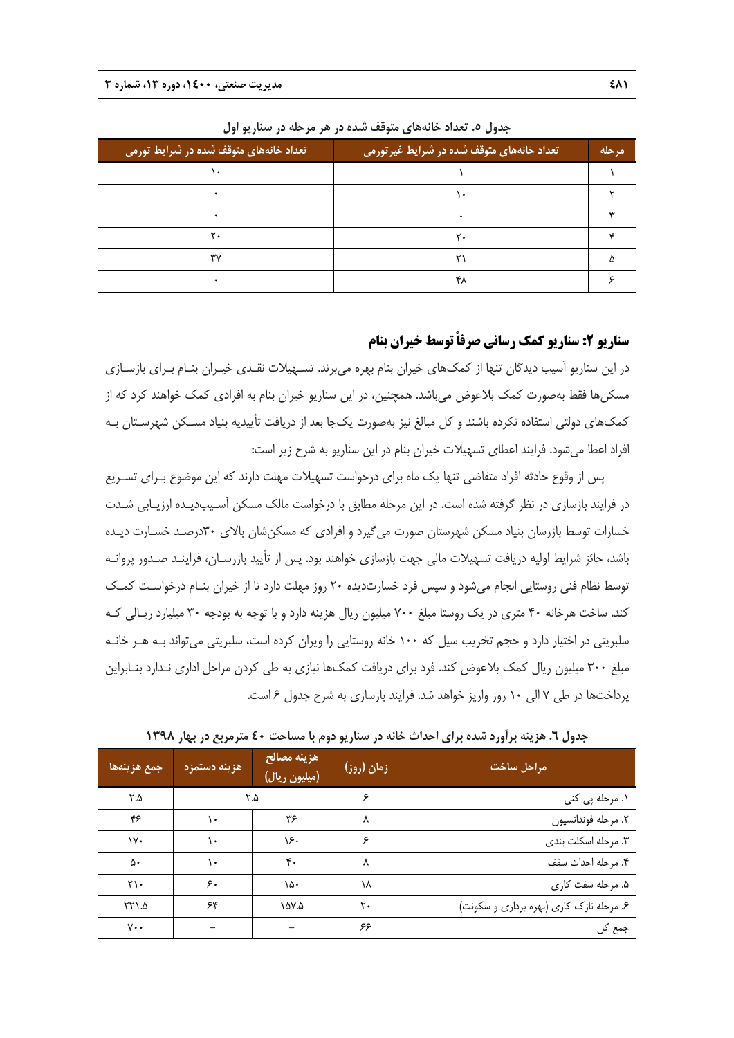| ً تعداد خانههای متوقف شده در شرایط تورمی <mark>.</mark> | ٔ تعداد خانههای متوقف شده در شرایط غیر تورمی ۱ | مرحله |
|---------------------------------------------------------|------------------------------------------------|-------|
|                                                         |                                                |       |
|                                                         | ۰.                                             |       |
|                                                         |                                                |       |
| ۲٠                                                      | ۲.                                             |       |
| ٣٧                                                      |                                                |       |
|                                                         | ۴۸                                             |       |

**جدول .5 تعداد خانههاي متوقف شده در هر مرحله در سناريو اول**

**سناريو :2 سناريو كمك رساني صرفاً توسط خيران بنام** 

در اين سناريو آسيب ديدگان تنها از كمكهاي خيران بنام بهره ميبرند. تسـهيلات نقـدي خيـران بنـام بـراي بازسـازي مسكنها فقط بهصورت كمك بلاعوض ميباشد. همچنين، در اين سناريو خيران بنام به افرادي كمك خواهند كرد كه از كمكهاي دولتي استفاده نكرده باشند و كل مبالغ نيز بهصورت يكجا بعد از دريافت تأييديه بنياد مسـكن شهرسـتان بـه افراد اعطا ميشود. فرايند اعطاي تسهيلات خيران بنام در اين سناريو به شرح زير است:

پس از وقوع حادثه افراد متقاضي تنها يك ماه براي درخواست تسهيلات مهلت دارند كه اين موضوع بـراي تسـريع در فرايند بازسازي در نظر گرفته شده است. در اين مرحله مطابق با درخواست مالك مسكن آسـيبديـده ارزيـابي شـدت خسارات توسط بازرسان بنياد مسكن شهرستان صورت ميگيرد و افرادي كه مسكنشان بالاي 30درصـد خسـارت ديـده باشد، حائز شرايط اوليه دريافت تسهيلات مالي جهت بازسازي خواهند بود. پس از تأييد بازرسـان، فراينـد صـدور پروانـه توسط نظام فني روستايي انجام ميشود و سپس فرد خسارتديده 20 روز مهلت دارد تا از خيران بنـام درخواسـت كمـك كند. ساخت هرخانه 40 متري در يك روستا مبلغ 700 ميليون ريال هزينه دارد و با توجه به بودجه 30 ميليارد ريـالي كـه سلبريتي در اختيار دارد و حجم تخريب سيل كه 100 خانه روستايي را ويران كرده است، سلبريتي ميتواند بـه هـر خانـه مبلغ 300 ميليون ريال كمك بلاعوض كند. فرد براي دريافت كمكها نيازي به طي كردن مراحل اداري نـدارد بنـابراين پرداختها در طي 7 الي 10 روز واريز خواهد شد. فرايند بازسازي به شرح جدول 6 است.

| جمع هزينهها     | هزينه دستمزد | هزينه مصالح<br>(میلیون ریال) | زمان (روز) | مراحل ساخت                               |  |
|-----------------|--------------|------------------------------|------------|------------------------------------------|--|
| ۲.۵             |              | ۲.۵                          | ۶          | ۱. مرحله پی کنی                          |  |
| ۴۶              | ٠٠           | ۳۶                           | ٨          | ٢. مرحله فوندانسيون                      |  |
| ١٧٠             | ۱۰           | ۱۶۰                          | ۶          | ٣. مرحله اسكلت بندى                      |  |
| ۵۰              | ۱۰           | $\mathbf{r}$ .               | ٨          | ۴. مرحله احداث سقف                       |  |
| ٢١٠             | ۶٠           | ۱۵۰                          | ١٨         | ۵. مرحله سفت کاری                        |  |
| ۲۲۱.۵           | ۶۴           | ۵۷.۵                         | ٢٠         | ۶. مرحله نازک کاری (بهره برداری و سکونت) |  |
| $V \cdot \cdot$ |              |                              | ۶۶         | جمع کل                                   |  |

**جدول .6 هزينه برآورد شده براي احداث خانه در سناريو دوم با مساحت 40 مترمربع در بهار 1398**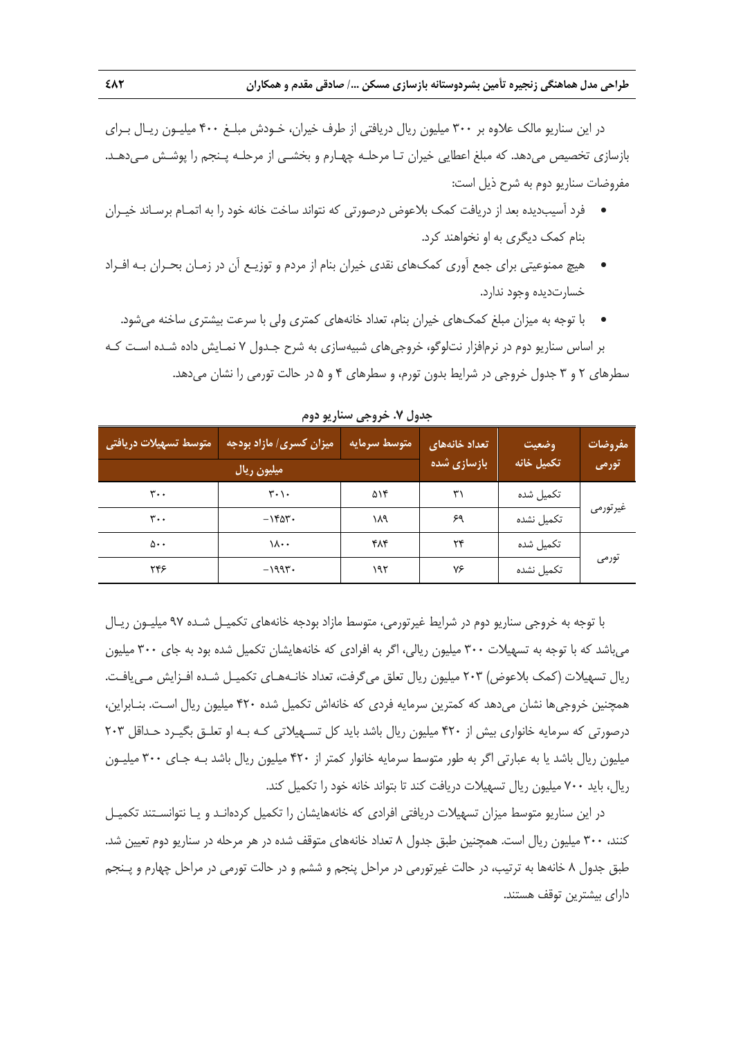در اين سناريو مالك علاوه بر 300 ميليون ريال دريافتي از طرف خيران، خـودش مبلـغ 400 ميليـون ريـال بـراي بازسازي تخصيص ميدهد. كه مبلغ اعطايي خيران تـا مرحلـه چهـارم و بخشـي از مرحلـه پـنجم را پوشـش مـيدهـد. مفروضات سناريو دوم به شرح ذيل است:

- فرد آسيبديده بعد از دريافت كمك بلاعوض درصورتي كه نتواند ساخت خانه خود را به اتمـام برسـاند خيـران بنام كمك ديگري به او نخواهند كرد.
- هيچ ممنوعيتي براي جمع آوري كمكهاي نقدي خيران بنام از مردم و توزيـع آن در زمـان بحـران بـه افـراد خسارتديده وجود ندارد.
- با توجه به ميزان مبلغ كمكهاي خيران بنام، تعداد خانههاي كمتري ولي با سرعت بيشتري ساخنه ميشود. بر اساس سناريو دوم در نرمافزار نتلوگو، خروجيهاي شبيهسازي به شرح جـدول 7 نمـايش داده شـده اسـت كـه سطرهاي 2 و 3 جدول خروجي در شرايط بدون تورم، و سطرهاي 4 و 5 در حالت تورمي را نشان ميدهد.

| متوسط تسهيلات دريافتي | میزان کسری/ مازاد بودجه       | متوسط سرمايه | تعداد خانههای | وضعيت      | مفروضات <i>ا</i> |
|-----------------------|-------------------------------|--------------|---------------|------------|------------------|
|                       | ميليون ريال                   |              | بازسازی شده   | تكميل خانه | تورمى            |
| ۳۰۰                   | $\mathbf{r} \cdot \mathbf{r}$ | ۵۱۴          | ٣١            | تكميل شده  |                  |
| ۳۰۰                   | $-1505$                       | ١λ٩          | ۶۹            | تكميل نشده | غيرتورمي         |
| ۵۰۰                   | ۱۸۰۰                          | ۴۸۴          | ۲۴            | تكميل شده  |                  |
| ۲۴۶                   | $-1997$                       | ۱۹۲          | ٧۶            | تكميل نشده | تورمى            |

**جدول .7 خروجي سناريو دوم**

با توجه به خروجي سناريو دوم در شرايط غيرتورمي، متوسط مازاد بودجه خانههاي تكميـل شـده 97 ميليـون ريـال ميباشد كه با توجه به تسهيلات 300 ميليون ريالي، اگر به افرادي كه خانههايشان تكميل شده بود به جاي 300 ميليون ريال تسهيلات (كمك بلاعوض) 203 ميليون ريال تعلق ميگرفت، تعداد خانـههـاي تكميـل شـده افـزايش مـييافـت. همچنين خروجيها نشان ميدهد كه كمترين سرمايه فردي كه خانهاش تكميل شده 420 ميليون ريال اسـت. بنـابراين، درصورتي كه سرمايه خانواري بيش از 420 ميليون ريال باشد بايد كل تسـهيلاتي كـه بـه او تعلـق بگيـرد حـداقل 203 ميليون ريال باشد يا به عبارتي اگر به طور متوسط سرمايه خانوار كمتر از 420 ميليون ريال باشد بـه جـاي 300 ميليـون ريال، بايد 700 ميليون ريال تسهيلات دريافت كند تا بتواند خانه خود را تكميل كند.

در اين سناريو متوسط ميزان تسهيلات دريافتي افرادي كه خانههايشان را تكميل كردهانـد و يـا نتوانسـتند تكميـل كنند، 300 ميليون ريال است. همچنين طبق جدول 8 تعداد خانههاي متوقف شده در هر مرحله در سناريو دوم تعيين شد. طبق جدول 8 خانهها به ترتيب، در حالت غيرتورمي در مراحل پنجم و ششم و در حالت تورمي در مراحل چهارم و پـنجم داراي بيشترين توقف هستند.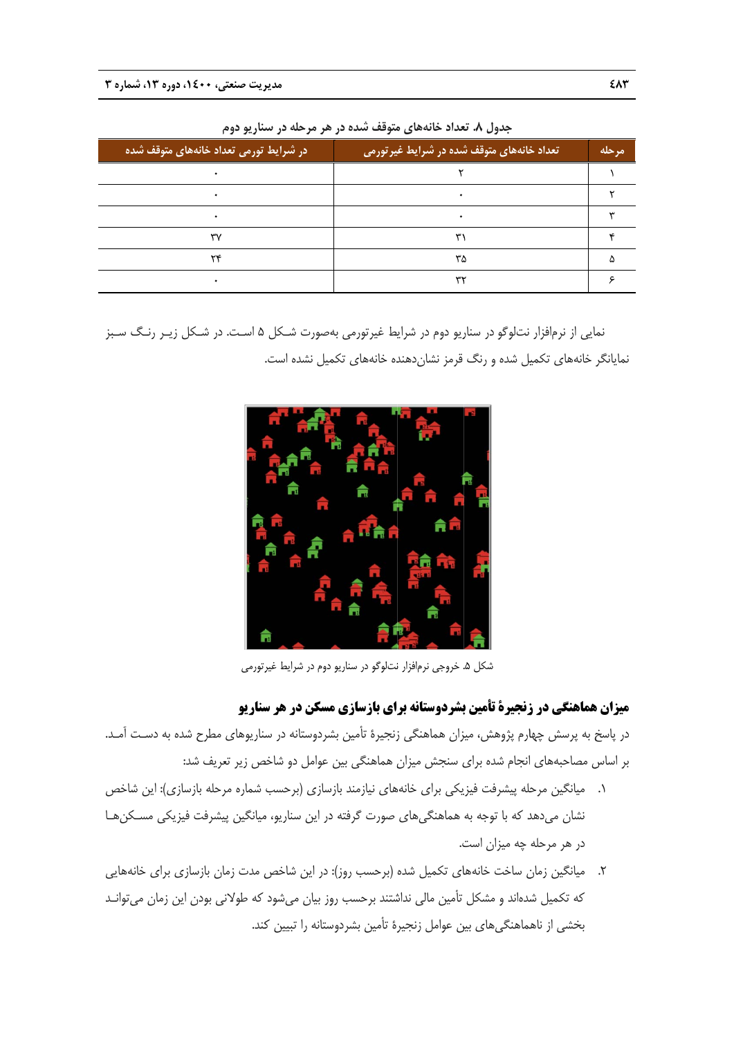| در شرایط تورمی تعداد خانههای متوقف شده | ِ تعداد خانههای متوقف شده در شرایط غیر <i>ت</i> ورمی | مرحله |
|----------------------------------------|------------------------------------------------------|-------|
|                                        |                                                      |       |
|                                        |                                                      |       |
|                                        |                                                      |       |
| ٣٧                                     |                                                      |       |
| ۲۴                                     | ۳۵                                                   |       |
|                                        | ٣٢                                                   |       |

**سناريو دوم هر مرحله در س متوقف شده در ه عداد خانههاي م جدول .8 تع**

نمايى از نرمافزار نتلوگو در سناريو دوم در شرايط غيرتورمى بهصورت شـكل ۵ اسـت. در شـكل زيـر رنـگ سـبز نمايانگر خانههاي تكميل شده و رنگ قرمز نشاندهنده خانههاي تكميل نشده است.



شكل ۵. خروجي نرمافزار نتلوگو در سناريو دوم در شرايط غيرتورمي

## **ميزان هماهنگي در زنجيرة تأمين بشردوستانه براي بازسازي مسكن در هر سناريو**

در پاسخ به پرسش چهارم پژوهش، میزان هماهنگی زنجیرهٔ تأمین بشردوستانه در سناریوهای مطرح شده به دسـت آمـد. بر اساس مصاحبههای انجام شده برای سنجش میزان هماهنگی بین عوامل دو شاخص زیر تعریف شد:

- ۰۱. میانگین مرحله پیشرفت فیزیکی برای خانههای نیازمند بازسازی (برحسب شماره مرحله بازسازی): این شاخص نشان میدهد که با توجه به هماهنگیهای صورت گرفته در این سناریو، میانگین پیشرفت فیزیکی مسـکنهـا در هر مرحله چه میزان است.
- ۲. میانگین زمان ساخت خانههای تکمیل شده (برحسب روز): در این شاخص مدت زمان بازسازی برای خانههایی كه تكميل شدهاند و مشكل تأمين مالي نداشتند برحسب روز بيان ميشود كه طولاني بودن اين زمان مي¤وانـد بخشي از ناهماهنگيهاي بين عوامل زنجيرهٔ تأمين بشردوستانه را تبيين كند.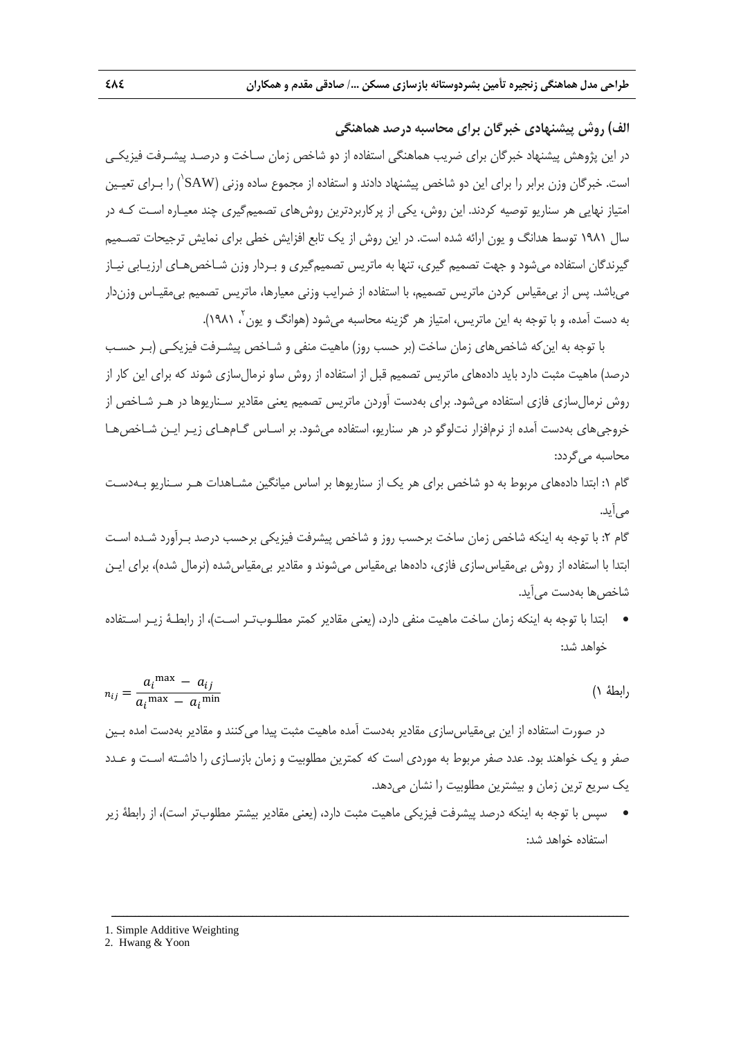**الف) روش پيشنهادي خبرگان براي محاسبه درصد هماهنگي** 

در اين پژوهش پيشنهاد خبرگان براي ضريب هماهنگي استفاده از دو شاخص زمان سـاخت و درصـد پيشـرفت فيزيكـي است. خبرگان وزن برابر را براي اين دو شاخص پيشنهاد دادند و استفاده از مجموع ساده وزني (SAW') را بـراي تعيـين امتياز نهايي هر سناريو توصيه كردند. اين روش، يكي از پركاربردترين روشهاي تصميمگيري چند معيـاره اسـت كـه در سال 1981 توسط هدانگ و يون ارائه شده است. در اين روش از يك تابع افزايش خطي براي نمايش ترجيحات تصـميم گيرندگان استفاده ميشود و جهت تصميم گيري، تنها به ماتريس تصميمگيري و بـردار وزن شـاخصهـاي ارزيـابي نيـاز ميباشد. پس از بيمقياس كردن ماتريس تصميم، با استفاده از ضرايب وزني معيارها، ماتريس تصميم بيمقيـاس وزندار به دست آمده، و با توجه به اين ماتريس، امتياز هر گزينه محاسبه ميشود (هوانگ و يون 2 .(1981 ،

با توجه به اينكه شاخصهاي زمان ساخت (بر حسب روز) ماهيت منفي و شـاخص پيشـرفت فيزيكـي (بـر حسـب درصد) ماهيت مثبت دارد بايد دادههاي ماتريس تصميم قبل از استفاده از روش ساو نرمالسازي شوند كه براي اين كار از روش نرمالسازي فازي استفاده ميشود. براي بهدست آوردن ماتريس تصميم يعني مقادير سـناريوها در هـر شـاخص از خروجيهاي بهدست آمده از نرمافزار نتلوگو در هر سناريو، استفاده ميشود. بر اسـاس گـامهـاي زيـر ايـن شـاخصهـا محاسبه ميگردد:

گام :1 ابتدا دادههاي مربوط به دو شاخص براي هر يك از سناريوها بر اساس ميانگين مشـاهدات هـر سـناريو بـهدسـت ميآيد.

گام ۲: با توجه به اينكه شاخص زمان ساخت برحسب روز و شاخص پيشرفت فيزيكي برحسب درصد بـرآورد شـده اسـت ابتدا با استفاده از روش بيمقياسسازي فازي، دادهها بيمقياس ميشوند و مقادير بيمقياسشده (نرمال شده)، براي ايـن شاخص ها بهدست مي آيد.

 ابتدا با توجه به اينكه زمان ساخت ماهيت منفي دارد، (يعني مقادير كمتر مطلـوبتـر اسـت)، از رابطـة زيـر اسـتفاده خواهد شد:

$$
n_{ij} = \frac{a_i^{\text{max}} - a_{ij}}{a_i^{\text{max}} - a_i^{\text{min}}}
$$
 (1)

در صورت استفاده از اين بيمقياسسازي مقادير بهدست آمده ماهيت مثبت پيدا ميكنند و مقادير بهدست امده بـين صفر و يك خواهند بود. عدد صفر مربوط به موردي است كه كمترين مطلوبيت و زمان بازسـازي را داشـته اسـت و عـدد يك سريع ترين زمان و بيشترين مطلوبيت را نشان ميدهد.

 سپس با توجه به اينكه درصد پيشرفت فيزيكي ماهيت مثبت دارد، (يعني مقادير بيشتر مطلوبتر است)، از رابطة زير استفاده خواهد شد:

<sup>1.</sup> Simple Additive Weighting

<sup>2.</sup> Hwang & Yoon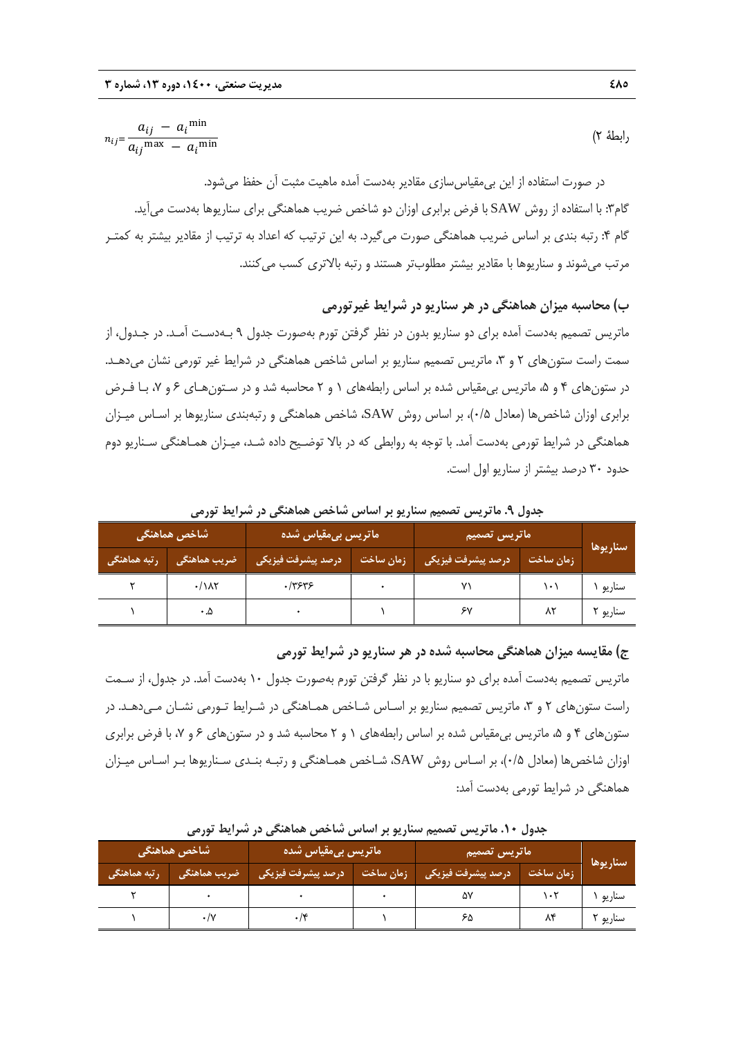$$
n_{ij} = \frac{a_{ij} - a_i^{\min}}{a_{ij}^{\max} - a_i^{\min}}
$$
 (Y

در صورت استفاده از اين بيمقياسسازي مقادير بهدست آمده ماهيت مثبت آن حفظ ميشود. گام۳: با استفاده از روش SAW با فرض برابري اوزان دو شاخص ضريب هماهنگي براي سناريوها بهدست مي آيد. گام ۴: رتبه بندي بر اساس ضريب هماهنگي صورت مي گيرد. به اين ترتيب كه اعداد به ترتيب از مقادير بيشتر به كمتـر مرتب ميشوند و سناريوها با مقادير بيشتر مطلوبتر هستند و رتبه بالاتري كسب ميكنند.

# **ب) محاسبه ميزان هماهنگي در هر سناريو در شرايط غيرتورمي**

ماتريس تصميم بهدست آمده براي دو سناريو بدون در نظر گرفتن تورم بهصورت جدول 9 بـهدسـت آمـد. در جـدول، از سمت راست ستونهاي ٢ و ٣، ماتريس تصميم سناريو بر اساس شاخص هماهنگي در شرايط غير تورمي نشان مي دهـد. در ستونهاي ۴ و ۵، ماتريس بي مقياس شده بر اساس رابطههاي ۱ و ۲ محاسبه شد و در سـتون هـاي ۶ و ۷، بـا فـرض برابري اوزان شاخصها (معادل 0/5)، بر اساس روش SAW، شاخص هماهنگي و رتبهبندي سناريوها بر اسـاس ميـزان هماهنگي در شرايط تورمي بهدست آمد. با توجه به روابطي كه در بالا توضـيح داده شـد، ميـزان همـاهنگي سـناريو دوم حدود 30 درصد بيشتر از سناريو اول است.

**سناريوها ماتريس تصميم ماتريس بيمقياس شده شاخص هماهنگي زمان ساخت درصد پيشرفت فيزيكي زمان ساخت درصد پيشرفت فيزيكي ضريب هماهنگي رتبه هماهنگي**  سناريو 1 101 71 0 0/3636 0/182 2 سناريو ٢ | ٨٢ | 7 × 1 - 0 0.5 | - 0.5 | 7 × 1 | 7 × 1 | 1 + 0.5 1 | 7 × 1 | 1 + 0

**جدول .9 ماتريس تصميم سناريو بر اساس شاخص هماهنگي در شرايط تورمي** 

### **ج) مقايسه ميزان هماهنگي محاسبه شده در هر سناريو در شرايط تورمي**

ماتريس تصميم بهدست آمده براي دو سناريو با در نظر گرفتن تورم بهصورت جدول 10 بهدست آمد. در جدول، از سـمت راست ستونهاي ٢ و ٣، ماتريس تصميم سناريو بر اسـاس شـاخص همـاهنگي در شـرايط تـورمي نشـان مـيدهـد. در ستونهاي ۴ و ۵، ماتريس بي مقياس شده بر اساس رابطههاي ۱ و ۲ محاسبه شد و در ستونهاي ۶ و ۷، با فرض برابري اوزان شاخصها (معادل 0/5)، بر اسـاس روش SAW، شـاخص همـاهنگي و رتبـه بنـدي سـناريوها بـر اسـاس ميـزان هماهنگي در شرايط تورمي بهدست آمد:

| جغون ۴۰٬۰۰۰ مرتبس مقتنیم مسرچ بر است من مسجل متناسقی فرانسرایت کررسی |                                          |                                    |           |                             |           |          |  |
|----------------------------------------------------------------------|------------------------------------------|------------------------------------|-----------|-----------------------------|-----------|----------|--|
|                                                                      | <sub>ا</sub> شاخص هماهنگی ا              | <mark>رماتریس</mark> بیمقیاس شده ا |           | ماتریس تصمیم <mark>(</mark> |           |          |  |
| رتبه هماهنگی                                                         | <sub>ا</sub> ضریب هماهنگی <mark>ا</mark> | درصد پیشرفت فیزیکی                 | زمان ساخت | ر درصد پیشرفت فیزیکی        | زمان ساخت | سناريوها |  |
|                                                                      |                                          |                                    |           |                             | ۱۰۲       | سناريو ` |  |
|                                                                      |                                          |                                    |           |                             | ۸۴        | سناريو ۲ |  |

**جدول .10 ماتريس تصميم سناريو بر اساس شاخص هماهنگي در شرايط تورمي**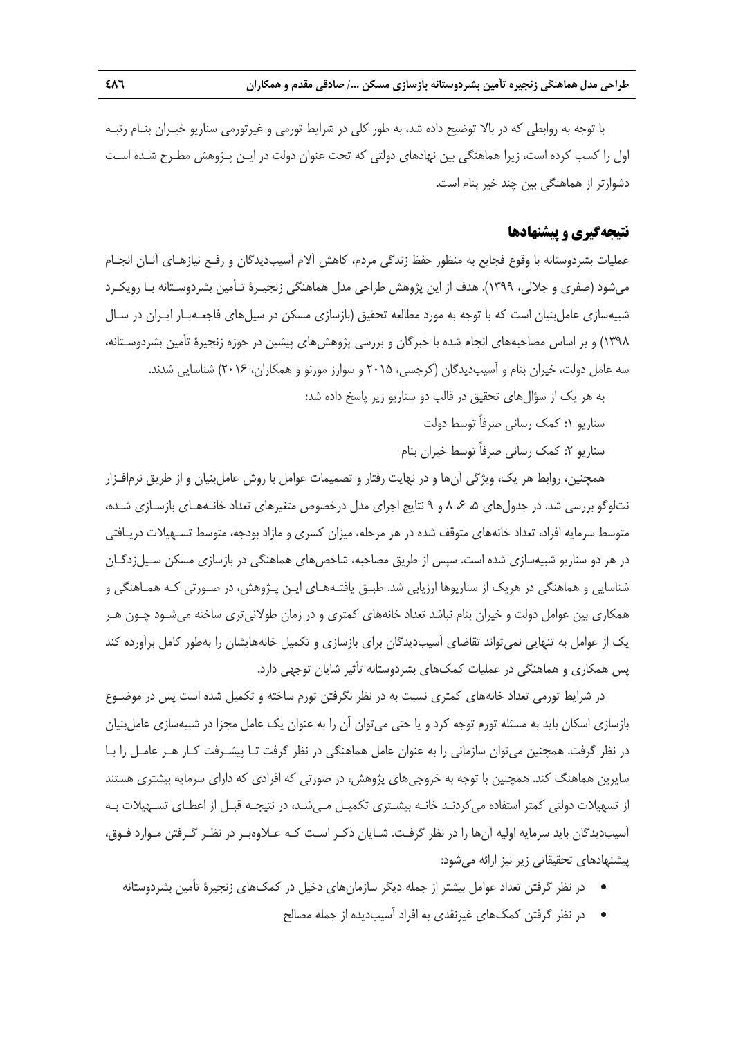با توجه به روابطي كه در بالا توضيح داده شد، به طور كلي در شرايط تورمي و غيرتورمي سناريو خيـران بنـام رتبـه اول را كسب كرده است، زيرا هماهنگي بين نهادهاي دولتي كه تحت عنوان دولت در ايـن پـژوهش مطـرح شـده اسـت دشوارتر از هماهنگي بين چند خير بنام است.

### **نتيجهگيري و پيشنهادها**

عمليات بشردوستانه با وقوع فجايع به منظور حفظ زندگي مردم، كاهش آلام آسيبديدگان و رفـع نيازهـاي آنـان انجـام ميشود (صفري و جلالي، 1399). هدف از اين پژوهش طراحي مدل هماهنگي زنجيـرة تـأمين بشردوسـتانه بـا رويكـرد شبيهسازي عاملبنيان است كه با توجه به مورد مطالعه تحقيق (بازسازي مسكن در سيلهاي فاجعـهبـار ايـران در سـال 1398) و بر اساس مصاحبههاي انجام شده با خبرگان و بررسي پژوهشهاي پيشين در حوزه زنجيرة تأمين بشردوسـتانه، سه عامل دولت، خيران بنام و آسيبديدگان (كرجسي، 2015 و سوارز مورنو و همكاران، 2016) شناسايي شدند.

- به هر يك از سؤالهاي تحقيق در قالب دو سناريو زير پاسخ داده شد:
	- سناريو :1 كمك رساني صرفاً توسط دولت
	- سناريو ٢: كمک رساني صرفاً توسط خيران بنام

همچنين، روابط هر يك، ويژگي آنها و در نهايت رفتار و تصميمات عوامل با روش عاملبنيان و از طريق نرمافـزار نتلوگو بررسي شد. در جدول هاي ۵، ۶ ،6 و ۹ نتايج اجراي مدل درخصوص متغيرهاي تعداد خانـههـاي بازسـازي شـده، متوسط سرمايه افراد، تعداد خانههاي متوقف شده در هر مرحله، ميزان كسري و مازاد بودجه، متوسط تسـهيلات دريـافتي در هر دو سناريو شبيهسازي شده است. سپس از طريق مصاحبه، شاخصهاي هماهنگي در بازسازي مسكن سـيلزدگـان شناسايي و هماهنگي در هريك از سناريوها ارزيابي شد. طبـق يافتـههـاي ايـن پـژوهش، در صـورتي كـه همـاهنگي و همكاري بين عوامل دولت و خيران بنام نباشد تعداد خانههاي كمتري و در زمان طولانيتري ساخته ميشـود چـون هـر يك از عوامل به تنهايي نميتواند تقاضاي آسيبديدگان براي بازسازي و تكميل خانههايشان را بهطور كامل برآورده كند پس همكاري و هماهنگي در عمليات كمكهاي بشردوستانه تأثير شايان توجهي دارد.

در شرايط تورمي تعداد خانههاي كمتري نسبت به در نظر نگرفتن تورم ساخته و تكميل شده است پس در موضـوع بازسازي اسكان بايد به مسئله تورم توجه كرد و يا حتي ميتوان آن را به عنوان يك عامل مجزا در شبيهسازي عاملبنيان در نظر گرفت. همچنين ميتوان سازماني را به عنوان عامل هماهنگي در نظر گرفت تـا پيشـرفت كـار هـر عامـل را بـا سايرين هماهنگ كند. همچنين با توجه به خروجيهاي پژوهش، در صورتي كه افرادي كه داراي سرمايه بيشتري هستند از تسهيلات دولتي كمتر استفاده ميكردنـد خانـه بيشـتري تكميـل مـيشـد، در نتيجـه قبـل از اعطـاي تسـهيلات بـه آسيبديدگان بايد سرمايه اوليه آنها را در نظر گرفـت. شـايان ذكـر اسـت كـه عـلاوهبـر در نظـر گـرفتن مـوارد فـوق، پيشنهادهاي تحقيقاتي زير نيز ارائه ميشود:

- در نظر گرفتن تعداد عوامل بيشتر از جمله ديگر سازمانهاي دخيل در كمكهاي زنجيرة تأمين بشردوستانه
	- در نظر گرفتن كمكهاي غيرنقدي به افراد آسيبديده از جمله مصالح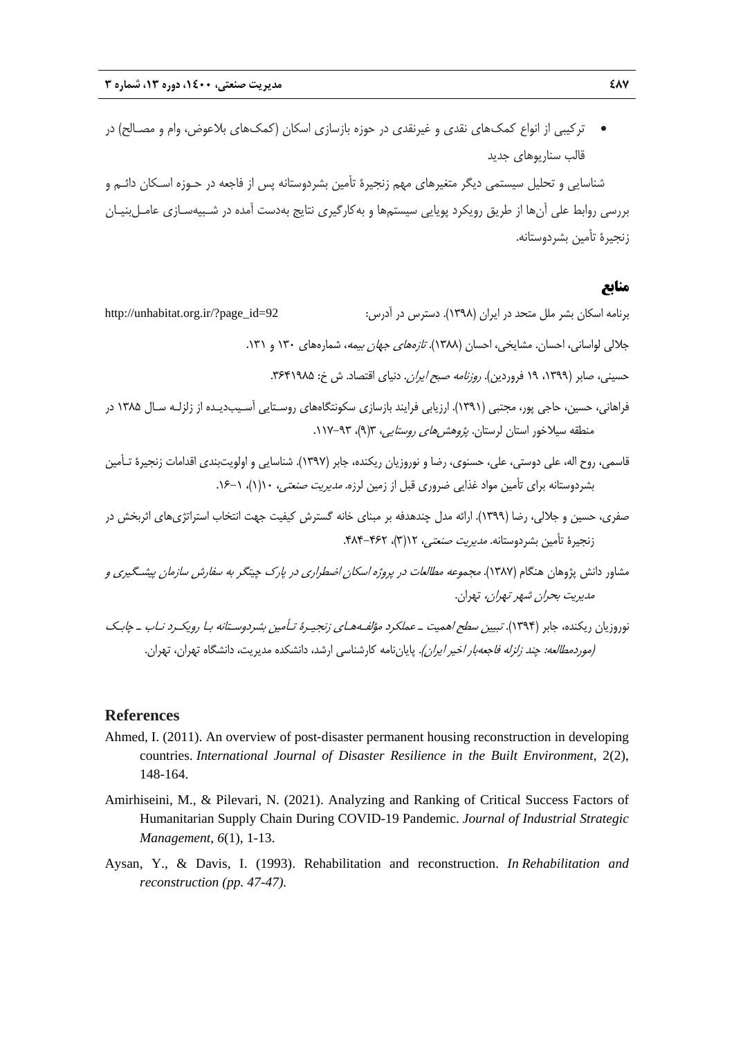تركيبي از انواع كمكهاي نقدي و غيرنقدي در حوزه بازسازي اسكان (كمكهاي بلاعوض، وام و مصـالح) در قالب سناريوهاي جديد

شناسايي و تحليل سيستمي ديگر متغيرهاي مهم زنجيرة تأمين بشردوستانه پس از فاجعه در حـوزه اسـكان دائـم و بررسي روابط علي آنها از طريق رويكرد پويايي سيستمها و بهكارگيري نتايج بهدست آمده در شـبيهسـازي عامـلبنيـان زنجيرة تأمين بشردوستانه.

### **منابع**

برنامه اسكان بشر ملل متحد در ايران (1398). دسترس در آدرس: 92=id\_page?/ir.org.unhabitat://http

جلالي لواساني، احسان. مشايخي، احسان (١٣٨٨). *تازههاي جهان بيمه*، شمارههاي ١٣٠ و ١٣١.

حسيني، صابر (١٣٩٩، ١٩ فروردين). *روزنامه صبح ايران.* دنياي اقتصاد. ش خ: ٢۶۴١٩٨۵.

- فراهاني، حسين، حاجي پور، مجتبي (1391). ارزيابي فرايند بازسازي سكونتگاههاي روسـتايي آسـيبديـده از زلزلـه سـال 1385 در منطقه سيلاخور استان لرستان. پژوهشهاي روستايي، 3(9)، 117-93 .
- قاسمي، روح اله، علي دوستي، علي، حسنوي، رضا و نوروزيان ريكنده، جابر (1397). شناسايي و اولويتبندي اقدامات زنجيرة تـأمين بشردوستانه براي تأمين مواد غذايي ضروري قبل از زمين لرزه. *مديريت صنعتي،* ١(١)، ١-١۶.
- صفري، حسين و جلالي، رضا (1399). ارائه مدل چندهدفه بر مبناي خانه گسترش كيفيت جهت انتخاب استراتژيهاي اثربخش در زنجيرة تأمين بشردوستانه. *مديريت صنعتي،* ١٢(٣)، ٣٤٢-۴٨۴.
- مشاور دانش پژوهان هنگام (1387). مجموعه مطالعات در پروژه اسكان اضطراري در پارك چيتگر به سفارش سازمان پيشـگيري <sup>و</sup> مديريت بحران شهر تهران، تهران.
- نوروزيان ريكنده، جابر (1394). تبيين سطح اهميت <sup>ـ</sup> عملكرد مؤلفـههـاي زنجيـرة تـأمين بشردوسـتانه بـا رويكـرد نـاب <sup>ـ</sup> چابـك (موردمطالعه: چند زلزله فاجعهبار اخير ايران). پاياننامه كارشناسي ارشد، دانشكده مديريت، دانشگاه تهران، تهران.

### **References**

- Ahmed, I. (2011). An overview of post‐disaster permanent housing reconstruction in developing countries. *International Journal of Disaster Resilience in the Built Environment*, 2(2), 148-164.
- Amirhiseini, M., & Pilevari, N. (2021). Analyzing and Ranking of Critical Success Factors of Humanitarian Supply Chain During COVID-19 Pandemic. *Journal of Industrial Strategic Management*, *6*(1), 1-13.
- Aysan, Y., & Davis, I. (1993). Rehabilitation and reconstruction. *In Rehabilitation and reconstruction (pp. 47-47).*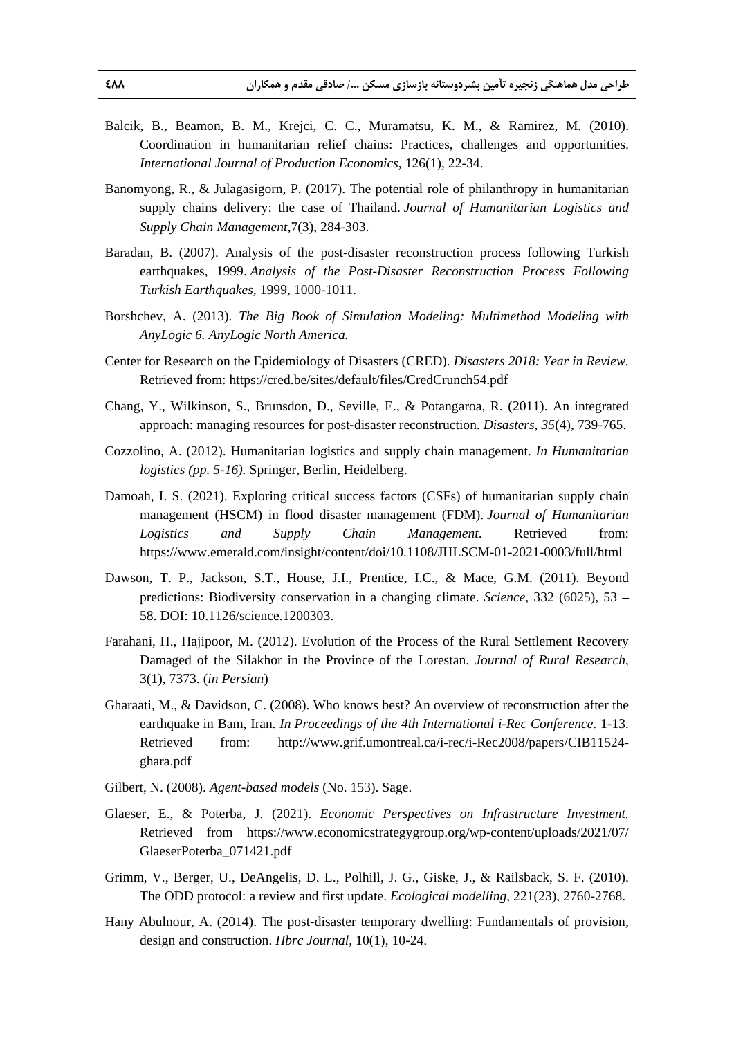- Balcik, B., Beamon, B. M., Krejci, C. C., Muramatsu, K. M., & Ramirez, M. (2010). Coordination in humanitarian relief chains: Practices, challenges and opportunities. *International Journal of Production Economics*, 126(1), 22-34.
- Banomyong, R., & Julagasigorn, P. (2017). The potential role of philanthropy in humanitarian supply chains delivery: the case of Thailand. *Journal of Humanitarian Logistics and Supply Chain Management,*7(3), 284-303.
- Baradan, B. (2007). Analysis of the post-disaster reconstruction process following Turkish earthquakes, 1999. *Analysis of the Post-Disaster Reconstruction Process Following Turkish Earthquakes,* 1999, 1000-1011.
- Borshchev, A. (2013). *The Big Book of Simulation Modeling: Multimethod Modeling with AnyLogic 6. AnyLogic North America.*
- Center for Research on the Epidemiology of Disasters (CRED). *Disasters 2018: Year in Review.*  Retrieved from: https://cred.be/sites/default/files/CredCrunch54.pdf
- Chang, Y., Wilkinson, S., Brunsdon, D., Seville, E., & Potangaroa, R. (2011). An integrated approach: managing resources for post‐disaster reconstruction. *Disasters*, *35*(4), 739-765.
- Cozzolino, A. (2012). Humanitarian logistics and supply chain management. *In Humanitarian logistics (pp. 5-16).* Springer, Berlin, Heidelberg.
- Damoah, I. S. (2021). Exploring critical success factors (CSFs) of humanitarian supply chain management (HSCM) in flood disaster management (FDM). *Journal of Humanitarian Logistics and Supply Chain Management*. Retrieved from: https://www.emerald.com/insight/content/doi/10.1108/JHLSCM-01-2021-0003/full/html
- Dawson, T. P., Jackson, S.T., House, J.I., Prentice, I.C., & Mace, G.M. (2011). Beyond predictions: Biodiversity conservation in a changing climate. *Science*, 332 (6025), 53 – 58. DOI: 10.1126/science.1200303.
- Farahani, H., Hajipoor, M. (2012). Evolution of the Process of the Rural Settlement Recovery Damaged of the Silakhor in the Province of the Lorestan. *Journal of Rural Research*, 3(1), 7373. (*in Persian*)
- Gharaati, M., & Davidson, C. (2008). Who knows best? An overview of reconstruction after the earthquake in Bam, Iran. *In Proceedings of the 4th International i-Rec Conference*. 1-13. Retrieved from: http://www.grif.umontreal.ca/i-rec/i-Rec2008/papers/CIB11524 ghara.pdf
- Gilbert, N. (2008). *Agent-based models* (No. 153). Sage.
- Glaeser, E., & Poterba, J. (2021). *Economic Perspectives on Infrastructure Investment.* Retrieved from https://www.economicstrategygroup.org/wp-content/uploads/2021/07/ GlaeserPoterba\_071421.pdf
- Grimm, V., Berger, U., DeAngelis, D. L., Polhill, J. G., Giske, J., & Railsback, S. F. (2010). The ODD protocol: a review and first update. *Ecological modelling*, 221(23), 2760-2768.
- Hany Abulnour, A. (2014). The post-disaster temporary dwelling: Fundamentals of provision, design and construction. *Hbrc Journal*, 10(1), 10-24.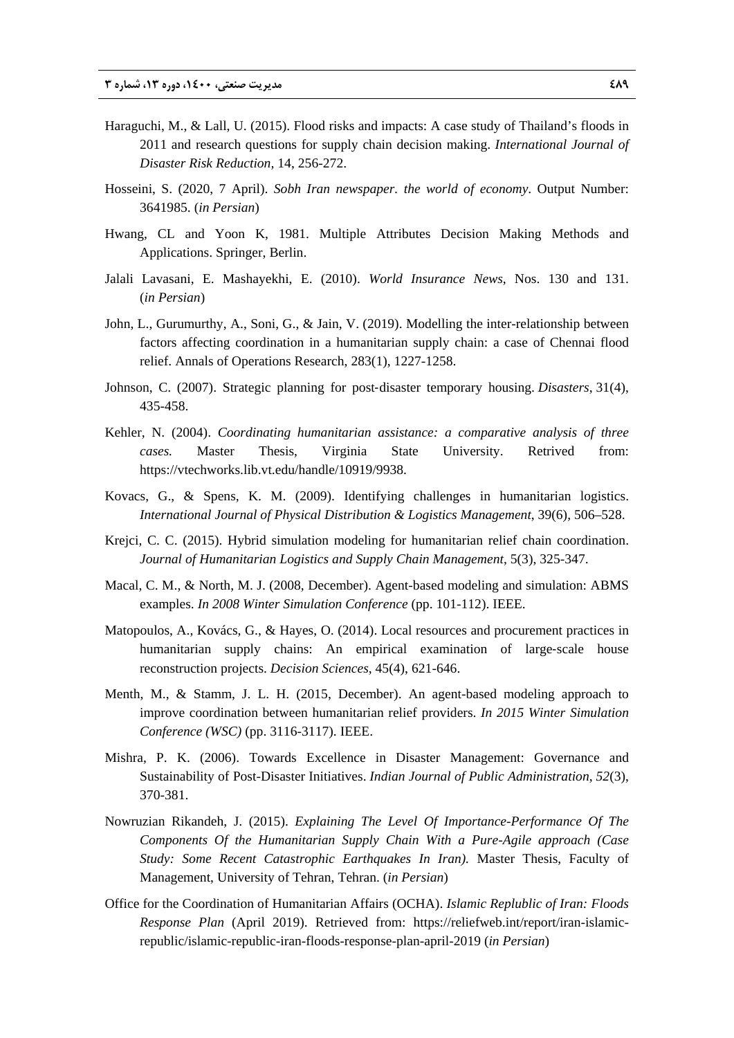- Haraguchi, M., & Lall, U. (2015). Flood risks and impacts: A case study of Thailand's floods in 2011 and research questions for supply chain decision making. *International Journal of Disaster Risk Reduction,* 14, 256-272.
- Hosseini, S. (2020, 7 April). *Sobh Iran newspaper. the world of economy*. Output Number: 3641985. (*in Persian*)
- Hwang, CL and Yoon K, 1981. Multiple Attributes Decision Making Methods and Applications. Springer, Berlin.
- Jalali Lavasani, E. Mashayekhi, E. (2010). *World Insurance News*, Nos. 130 and 131. (*in Persian*)
- John, L., Gurumurthy, A., Soni, G., & Jain, V. (2019). Modelling the inter-relationship between factors affecting coordination in a humanitarian supply chain: a case of Chennai flood relief. Annals of Operations Research, 283(1), 1227-1258.
- Johnson, C. (2007). Strategic planning for post‐disaster temporary housing. *Disasters*, 31(4), 435-458.
- Kehler, N. (2004). *Coordinating humanitarian assistance: a comparative analysis of three cases.* Master Thesis, Virginia State University. Retrived from: https://vtechworks.lib.vt.edu/handle/10919/9938.
- Kovacs, G., & Spens, K. M. (2009). Identifying challenges in humanitarian logistics. *International Journal of Physical Distribution & Logistics Management*, 39(6), 506–528.
- Krejci, C. C. (2015). Hybrid simulation modeling for humanitarian relief chain coordination. *Journal of Humanitarian Logistics and Supply Chain Management*, 5(3), 325-347.
- Macal, C. M., & North, M. J. (2008, December). Agent-based modeling and simulation: ABMS examples. *In 2008 Winter Simulation Conference* (pp. 101-112). IEEE.
- Matopoulos, A., Kovács, G., & Hayes, O. (2014). Local resources and procurement practices in humanitarian supply chains: An empirical examination of large-scale house reconstruction projects. *Decision Sciences*, 45(4), 621-646.
- Menth, M., & Stamm, J. L. H. (2015, December). An agent-based modeling approach to improve coordination between humanitarian relief providers. *In 2015 Winter Simulation Conference (WSC)* (pp. 3116-3117). IEEE.
- Mishra, P. K. (2006). Towards Excellence in Disaster Management: Governance and Sustainability of Post-Disaster Initiatives. *Indian Journal of Public Administration*, *52*(3), 370-381.
- Nowruzian Rikandeh, J. (2015). *Explaining The Level Of Importance-Performance Of The Components Of the Humanitarian Supply Chain With a Pure-Agile approach (Case Study: Some Recent Catastrophic Earthquakes In Iran).* Master Thesis, Faculty of Management, University of Tehran, Tehran. (*in Persian*)
- Office for the Coordination of Humanitarian Affairs (OCHA). *Islamic Replublic of Iran: Floods Response Plan* (April 2019). Retrieved from: https://reliefweb.int/report/iran-islamicrepublic/islamic-republic-iran-floods-response-plan-april-2019 (*in Persian*)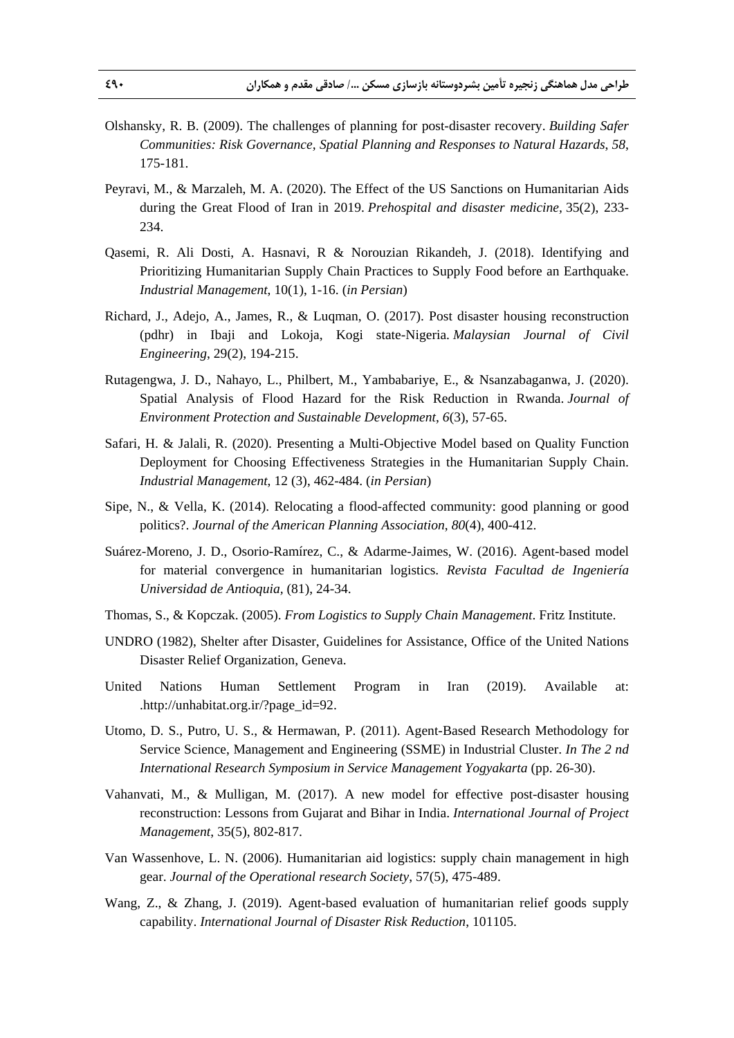- Olshansky, R. B. (2009). The challenges of planning for post-disaster recovery. *Building Safer Communities: Risk Governance, Spatial Planning and Responses to Natural Hazards*, *58*, 175-181.
- Peyravi, M., & Marzaleh, M. A. (2020). The Effect of the US Sanctions on Humanitarian Aids during the Great Flood of Iran in 2019. *Prehospital and disaster medicine,* 35(2), 233- 234.
- Qasemi, R. Ali Dosti, A. Hasnavi, R & Norouzian Rikandeh, J. (2018). Identifying and Prioritizing Humanitarian Supply Chain Practices to Supply Food before an Earthquake. *Industrial Management*, 10(1), 1-16. (*in Persian*)
- Richard, J., Adejo, A., James, R., & Luqman, O. (2017). Post disaster housing reconstruction (pdhr) in Ibaji and Lokoja, Kogi state-Nigeria. *Malaysian Journal of Civil Engineering*, 29(2), 194-215.
- Rutagengwa, J. D., Nahayo, L., Philbert, M., Yambabariye, E., & Nsanzabaganwa, J. (2020). Spatial Analysis of Flood Hazard for the Risk Reduction in Rwanda. *Journal of Environment Protection and Sustainable Development*, *6*(3), 57-65.
- Safari, H. & Jalali, R. (2020). Presenting a Multi-Objective Model based on Quality Function Deployment for Choosing Effectiveness Strategies in the Humanitarian Supply Chain. *Industrial Management*, 12 (3), 462-484. (*in Persian*)
- Sipe, N., & Vella, K. (2014). Relocating a flood-affected community: good planning or good politics?. *Journal of the American Planning Association*, *80*(4), 400-412.
- Suárez-Moreno, J. D., Osorio-Ramírez, C., & Adarme-Jaimes, W. (2016). Agent-based model for material convergence in humanitarian logistics. *Revista Facultad de Ingeniería Universidad de Antioquia,* (81), 24-34.
- Thomas, S., & Kopczak. (2005). *From Logistics to Supply Chain Management*. Fritz Institute.
- UNDRO (1982), Shelter after Disaster, Guidelines for Assistance, Office of the United Nations Disaster Relief Organization, Geneva.
- United Nations Human Settlement Program in Iran (2019). Available at: .http://unhabitat.org.ir/?page\_id=92.
- Utomo, D. S., Putro, U. S., & Hermawan, P. (2011). Agent-Based Research Methodology for Service Science, Management and Engineering (SSME) in Industrial Cluster. *In The 2 nd International Research Symposium in Service Management Yogyakarta* (pp. 26-30).
- Vahanvati, M., & Mulligan, M. (2017). A new model for effective post-disaster housing reconstruction: Lessons from Gujarat and Bihar in India. *International Journal of Project Management*, 35(5), 802-817.
- Van Wassenhove, L. N. (2006). Humanitarian aid logistics: supply chain management in high gear. *Journal of the Operational research Society*, 57(5), 475-489.
- Wang, Z., & Zhang, J. (2019). Agent-based evaluation of humanitarian relief goods supply capability. *International Journal of Disaster Risk Reduction*, 101105.